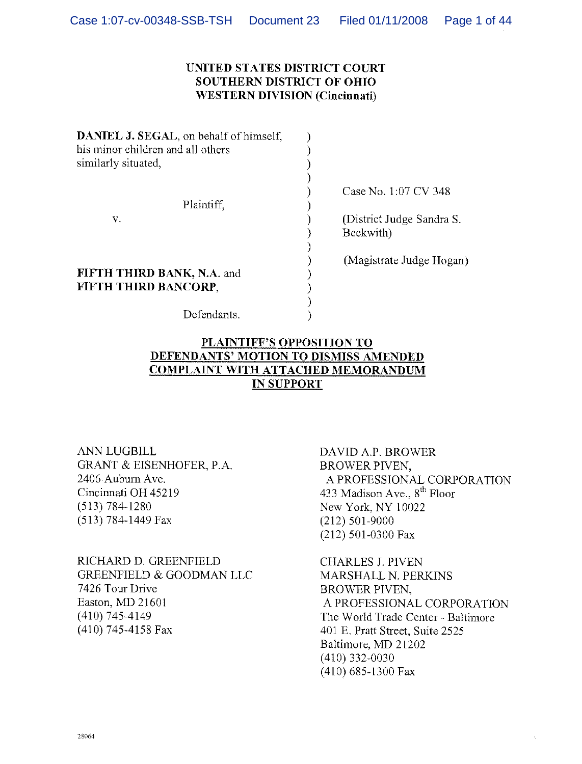## UNITED STATES DISTRICT COURT SOUTHERN DISTRICT OF OHIO WESTERN DIVISION (Cincinnati)

| DANIEL J. SEGAL, on behalf of himself,<br>his minor children and all others<br>similarly situated, |                                        |
|----------------------------------------------------------------------------------------------------|----------------------------------------|
| Plaintiff,                                                                                         | Case No. 1:07 CV 348                   |
| v.                                                                                                 | (District Judge Sandra S.<br>Beckwith) |
| FIFTH THIRD BANK, N.A. and<br>FIFTH THIRD BANCORP,                                                 | (Magistrate Judge Hogan)               |

Defendants.

# PLAINTIFF'S OPPOSITION TO DEFENDANTS' MOTION TO DISMISS AMENDED COMPLAINT WITH ATTACHED MEMORANDUM IN SUPPORT

ANN LUGBILL DAVID A.P. BROWER GRANT & EISENHOFER, P.A. BROWER PIVEN,<br>2406 Auburn Ave. A PROFESSION Cincinnati OH 45219 433 Madison Ave.,  $8^{th}$  Floor (513) 784-1280  $\mu$  Mew York, NY 10022 (513) 784-1449 Fax (212) 501-9000

RICHARD D. GREENFIELD CHARLES J. PIVEN GREENFIELD & GOODMAN LLC<br>
7426 Tour Drive<br>
BROWER PIVEN. 7426 Tour Drive BROWER PIVEN,<br>Easton, MD 21601 688 A PROFESSIONA

A PROFESSIONAL CORPORATION New York, NY 10022 (212) 501-0300 Fax

Easton, MD 21601 <br>
(410) 745-4149 <br>
A PROFESSIONAL CORPORATION<br>
The World Trade Center - Baltimore (410) 745-4149 The World Trade Center - Baltimore<br>  $(410)$  745-4158 Fax  $401$  E. Pratt Street. Suite 2525 401 E. Pratt Street, Suite 2525 Baltimore, MD 21202 (410) 332-0030 (410) 685-1300 Fax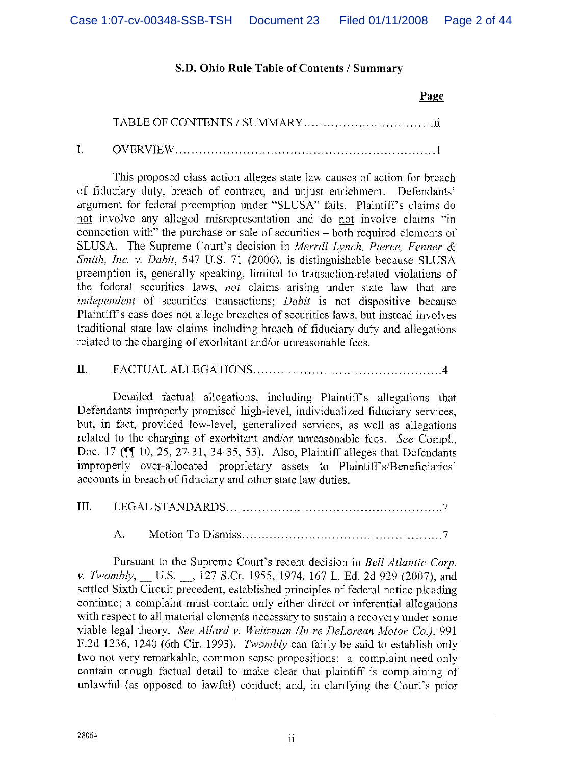## S.D. Ohio Rule Table of Contents / Summary

#### Page

TABLE OF CONTENTS / SUMMARY ii

I. OVERVIEW I

This proposed class action alleges state law causes of action for breach of fiduciary duty, breach of contract, and unjust enrichment. Defendants' argument for federal preemption under "SLUSA" fails. Plaintiffs claims do not involve any alleged misrepresentation and do not involve claims "in connection with" the purchase or sale of securities —both required elements of SLUSA. The Supreme Court's decision in Merrill Lynch, Pierce, Fenner & Smith, Inc. v. Dabit, 547 U.S. 71(2006), is distinguishable because SLUSA preemption is, generally speaking, limited to transaction-related violations of the federal securities laws, not claims arising under state law that are independent of securities transactions; Dabit is not dispositive because Plaintiff's case does not allege breaches of securities laws, but instead involves traditional state law claims including breach of fiduciary duty and allegations related to the charging of exorbitant and/or unreasonable fees.

II. FACTUAL ALLEGATIONS 4

Detailed factual allegations, including Plaintiffs allegations that Defendants improperly promised high-level, individualized fiduciary services, but, in fact, provided low-level, generalized services, as well as allegations related to the charging of exorbitant and/or unreasonable fees. See Compi., Doc. 17 ( $\parallel$  10, 25, 27-31, 34-35, 53). Also, Plaintiff alleges that Defendants improperly over-allocated proprietary assets to Plaintiff's/Beneficiaries' accounts in breach of fiduciary and other state law duties.

III. LEGAL STANDARDS 7

A. Motion To Dismiss 7

Pursuant to the Supreme Court's recent decision in Bell Atlantic Corp. v. Twombly, \_\_ U.S. \_\_, 127 S.Ct. 1955, 1974, 167 L. Ed. 2d 929 (2007), and settled Sixth Circuit precedent, established principles of federal notice pleading continue; a complaint must contain only either direct or inferential allegations with respect to all material elements necessary to sustain a recovery under some viable legal theory. See Allard v. Weitzman (In re DeLorean Motor Co.), 991 F.2d 1236, 1240 (6th Cir. 1993). Twombly can fairly be said to establish only two not very remarkable, common sense propositions: a complaint need only contain enough factual detail to make clear that plaintiff is complaining of unlawful (as opposed to lawful) conduct; and, in clarifying the Court's prior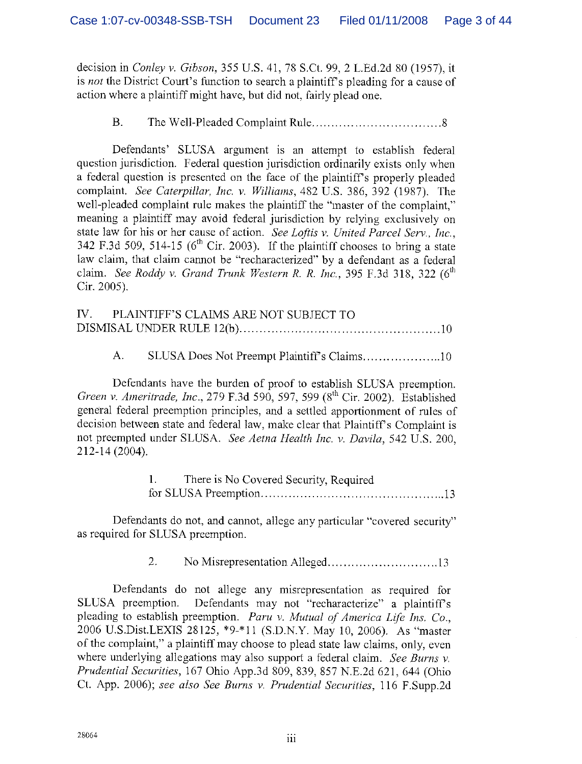decision in Conley v. Gibson, 355 U.S. 41, 78 S.Ct. 99, 2 L.Ed.2d 80 (1957), it is not the District Court's function to search a plaintiff's pleading for a cause of action where a plaintiff might have, but did not, fairly plead one.

## B. The Well-Pleaded Complaint Rule 8

Defendants' SLUSA argument is an attempt to establish federal question jurisdiction. Federal question jurisdiction ordinarily exists only when a federal question is presented on the face of the plaintiff's properly pleaded complaint. See Caterpillar, Inc. v. Williams, 482 U.S. 386, 392 (1987). The well-pleaded complaint rule makes the plaintiff the "master of the complaint," meaning a plaintiff may avoid federal jurisdiction by relying exclusively on state law for his or her cause of action. See Loftis v. United Parcel Serv., Inc., 342 F.3d 509, 514-15 ( $6<sup>th</sup>$  Cir. 2003). If the plaintiff chooses to bring a state law claim, that claim cannot be "recharacterized" by a defendant as a federal claim. See Roddy v. Grand Trunk Western R. R. Inc., 395 F.3d 318, 322 ( $6<sup>th</sup>$ Cir. 2005).

| IV. PLAINTIFF'S CLAIMS ARE NOT SUBJECT TO |  |
|-------------------------------------------|--|
|                                           |  |

## A. SLUSA Does Not Preempt Plaintiffs Claims 10

Defendants have the burden of proof to establish SLUSA preemption. Green v. Ameritrade, Inc., 279 F.3d 590, 597, 599 (8<sup>th</sup> Cir. 2002). Established general federal preemption principles, and a settled apportionment of rules of decision between state and federal law, make clear that Plaintiff's Complaint is not preempted under SLUSA. See Aetna Health Inc. v. Davila, 542 U.S. 200, 212-14 (2004).

| There is No Covered Security, Required |
|----------------------------------------|
|                                        |

Defendants do not, and cannot, allege any particular "covered security" as required for SLUSA preemption.

2. No Misrepresentation Alleged 13

Defendants do not allege any misrepresentation as required for SLUSA preemption. Defendants may not "recharacterize" a plaintiffs pleading to establish preemption. Paru v. Mutual of America Life Ins. Co., 2006 U.S.Dist.LEXIS 28125, \*9.\*l1 (S.D.N.Y. May 10, 2006). As "master of the complaint," a plaintiff may choose to plead state law claims, only, even where underlying allegations may also support a federal claim. See Burns v. Prudential Securities, 167 Ohio App.3d 809, 839, 857 N.E,2d 621, 644 (Ohio Ct. App. 2006); see also See Burns v. Prudential Securities, 116 F.Supp.2d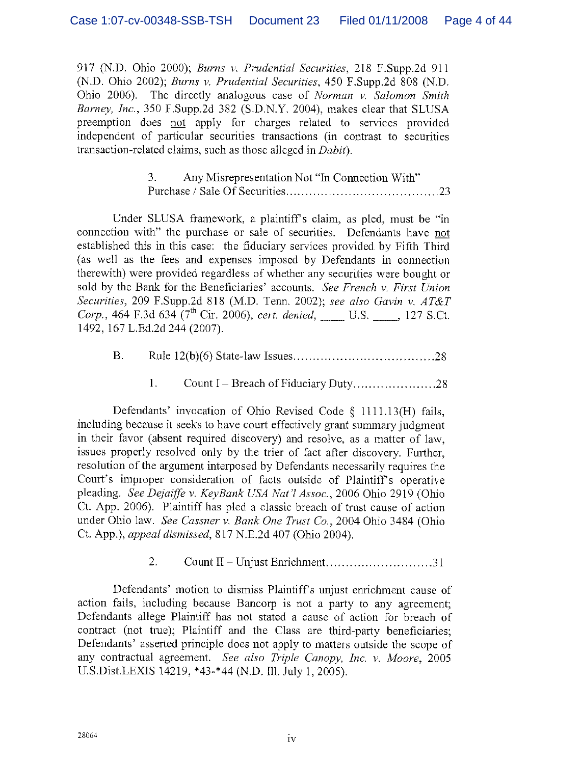917 (ND. Ohio 2000); Burns v. Prudential Securities, 218 F.Supp.2d 911 (ND. Ohio 2002); Burns v. Prudential Securities, 450 F.Supp.2d 808 (N,D. Ohio 2006). The directly analogous case of Norman v, Salomon Smith Barney, Inc., 350 F.Supp.2d 382 (S.D.N.Y. 2004), makes clear that SLUSA preemption does not apply for charges related to services provided independent of particular securities transactions (in contrast to securities transaction-related claims, such as those alleged in Dabit).

> 3. Any Misrepresentation Not "In Connection With" Purchase/ Sale Of Securities 23

Under SLUSA framework, a plaintiffs claim, as pled, must be "in connection with" the purchase or sale of securities. Defendants have not established this in this case: the fiduciary services provided by Fifth Third (as well as the fees and expenses imposed by Defendants in connection therewith) were provided regardless of whether any securities were bought or sold by the Bank for the Beneficiaries' accounts. See French v. First Union Securities, 209 F.Supp.2d 818 (M.D. Tenn. 2002); see also Gavin v. AT&T Corp., 464 F.3d 634 ( $7<sup>th</sup>$  Cir. 2006), cert. denied, U.S. \_\_\_, 127 S.Ct. 1492, 167 L.Ed.2d 244 (2007).

- B. Rule 12(b)(6) State-law Issues 28
	- 1, Count I —Breach of Fiduciary Duty 28

Defendants' invocation of Ohio Revised Code § 1111.13(H) fails, including because it seeks to have court effectively grant summary judgment in their favor (absent required discovery) and resolve, as a matter of law, issues properly resolved, only by the trier of fact after discovery. Further, resolution of the argument interposed by Defendants necessarily requires the Court's improper consideration of facts outside of Plaintiffs operative pleading. See Dejaffe v. KeyBank USA Nat'l Assoc., 2006 Ohio 2919 (Ohio Ct. App. 2006). Plaintiff has pled a classic breach of trust cause of action under Ohio law. See Cassner v. Bank One Trust Co., 2004 Ohio 3484 (Ohio Ct. App.), appeal dismissed, 817 N.E.2d 407 (Ohio 2004).

2. Count II —Unjust Enrichment 31.

Defendants' motion to dismiss Plaintiff's unjust enrichment cause of action fails, including because Bancorp is not a party to any agreement; Defendants allege Plaintiff has not stated a cause of action for breach of contract (not true); Plaintiff and the Class are third-party beneficiaries; Defendants' asserted principle does not apply to matters outside the scope of any contractual agreement. See also Triple Canopy, Inc. v. Moore, 2005 U.S.Dist.LEXIS 14219, \*43-\*44 (N.D. Ill. July 1, 2005).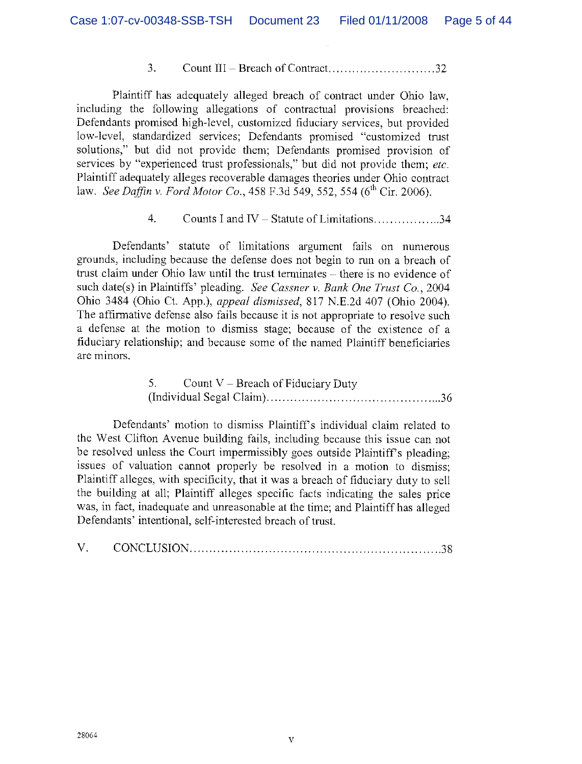### 3. Count III — Breach of Contract .32

Plaintiff has adequately alleged breach of contract under Ohio law, including the following allegations of contractual provisions breached: Defendants promised high-level, customized fiduciary services, but provided low-level, standardized services; Defendants promised "customized trust solutions," but did not provide them; Defendants promised provision of services by "experienced trust professionals," but did not provide them; etc. Plaintiff adequately alleges recoverable damages theories under Ohio contract law. See Daffin v. Ford Motor Co.,  $458$  F.3d  $549$ ,  $552$ ,  $554$  (6<sup>th</sup> Cir. 2006).

## 4. Counts I and IV – Statute of Limitations  $\ldots$  34

Defendants' statute of limitations argument fails on numerous grounds, including because the defense does not begin to run on a breach of trust claim under Ohio law until the trust terminates - there is no evidence of such date(s) in Plaintiffs' pleading. See Cassner v. Bank One Trust Co., 2004 Ohio 3484 (Ohio Ct. App.), appeal dismissed, 817 N.E.2d 407 (Ohio 2004). The affirmative defense also fails because it is not appropriate to resolve such a defense at the motion to dismiss stage; because of the existence of a fiduciary relationship; and because some of the named Plaintiff beneficiaries are minors.

# 5. Count V — Breach of Fiduciary Duty (Individual Segal Claim) 36

Defendants' motion to dismiss Plaintiff's individual claim related to the West Clifton Avenue building fails, including because this issue can not be resolved unless the Court impermissibly goes outside Plaintiff's pleading; issues of valuation cannot properly be resolved in a motion to dismiss; Plaintiff alleges, with specificity, that it was a breach of fiduciary duty to sell the building at all; Plaintiff alleges specific facts indicating the sales price was, in fact, inadequate and unreasonable at the time; and Plaintiff has alleged Defendants' intentional, self-interested breach of trust.

|--|--|--|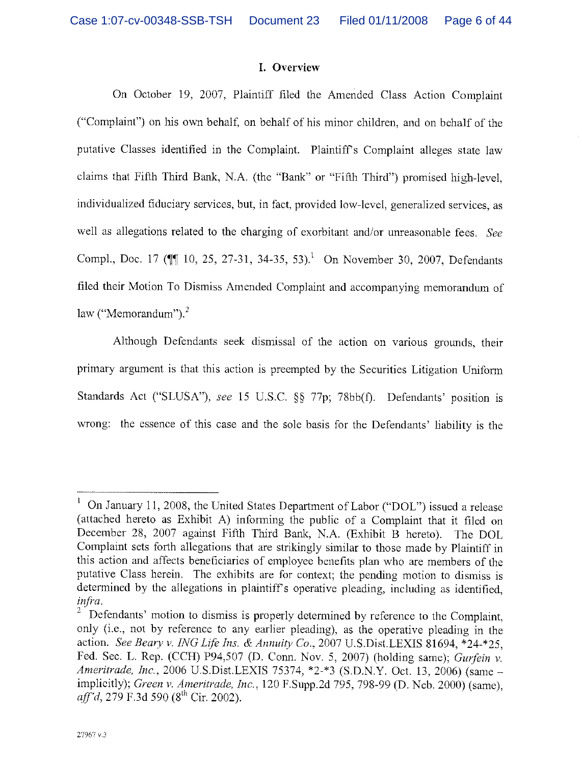#### I. Overview

On October 19, 2007, Plaintiff filed the Amended Class Action Complaint ("Complaint") on his own behalf, on behalf of his minor children, and on behalf of the putative Classes identified in the Complaint. Plaintiffs Complaint alleges state law claims that Fifth Third Bank, N.A. (the "Bank" or "Fifth Third") promised high-level, individualized fiduciary services, hut, in fact, provided low-level, generalized services, as well as allegations related to the charging of exorbitant and/or unreasonable fees. See Compl., Doc. 17 ( $\P$ 10, 25, 27-31, 34-35, 53).<sup>1</sup> On November 30, 2007, Defendants filed their Motion To Dismiss Amended Complaint and accompanying memorandum of law ("Memorandum").<sup>2</sup>

Although Defendants seek dismissal of the action on various grounds, their primary argument is that this action is preempted by the Securities Litigation Uniform Standards Act ("SLUSA"), see 15 U.S.C. §§ 77p; 78bb(f). Defendants' position is wrong: the essence of this case and the sole basis for the Defendants' liability is the

 $\mathbf{I}$ On January 11, 2008, the United States Department of Labor ("DOL") issued a release (attached hereto as Exhibit A) informing the public of a Complaint that it filed on December 28, 2007 against Fifth Third Bank, N.A. (Exhibit B hereto). The DOL Complaint sets forth allegations that are strikingly similar to those made by Plaintiff in this action and affects beneficiaries of employee benefits plan who are members of the putative Class herein. The exhibits are for context; the pending motion to dismiss is determined by the allegations in plaintiffs operative pleading, including as identified, infra.

 $2^{2}$  Defendants' motion to dismiss is properly determined by reference to the Complaint, only (i.e., not by reference to any earlier pleading), as the operative pleading in the action. See Beary v. ING Life Ins. & Annuity Co., 2007 U.S. Dist. LEXIS 81694, \*24-\*25. Fed. Sec. L. Rep. (CCH) P94,507 (D. Conn. Nov. 5, 2007) (holding same); Gurfein v. Ameritrade, Inc., 2006 U.S.Dist.LEXIS 75374, \*2-\*3 (S.D.N.Y. Oct. 13, 2006) (same implicitly); Green v. Ameritrade, Inc., 120 F.Supp.2d 795, 798-99 (D. Neb. 2000) (same),  $aff^2d$ , 279 F.3d 590 (8<sup>th</sup> Cir. 2002).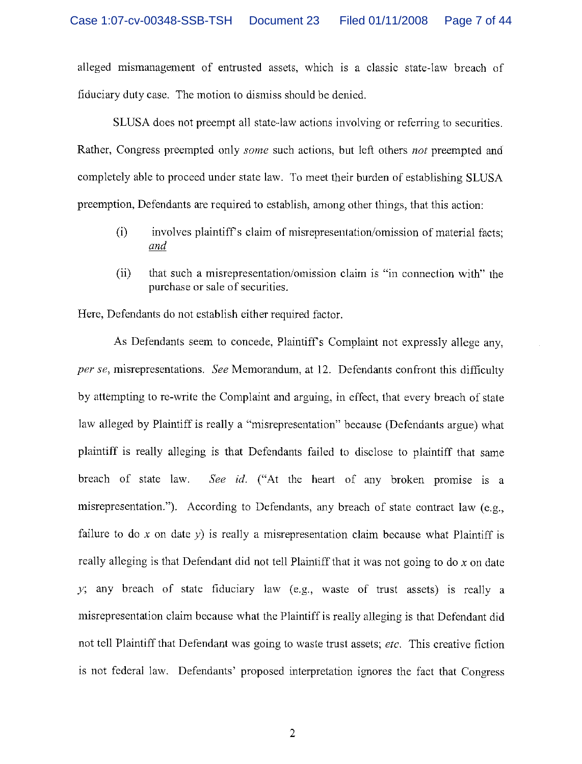alleged mismanagement of entrusted assets, which is a classic state-law breach of fiduciary duty case. The motion to dismiss should be denied.

SLUSA does not preempt all state-law actions involving or referring to securities. Rather, Congress preempted only *some* such actions, but left others *not* preempted and completely able to proceed under state law. To meet their burden of establishing SLUSA preemption, Defendants are required to establish, among other things, that this action:

- $(i)$  involves plaintiff's claim of misrepresentation/omission of material facts; and
- $(i)$  that such a misrepresentation/omission claim is "in connection with" the purchase or sale of securities.

Here, Defendants do not establish either required factor.

As Defendants seem to concede, Plaintiffs Complaint not expressly allege any, per se, misrepresentations. See Memorandum, at 12. Defendants confront this difficulty by attempting to re-write the Complaint and arguing, in effect, that every breach of state law alleged by Plaintiff is really a "misrepresentation" because (Defendants argue) what plaintiff is really alleging is that Defendants failed to disclose to plaintiff that same breach of state law. See id. ("At the heart of any broken promise is a misrepresentation."). According to Defendants, any breach of state contract law (e.g., failure to do x on date y) is really a misrepresentation claim because what Plaintiff is really alleging is that Defendant did not tell Plaintiff that it was not going to do  $x$  on date y; any breach of state fiduciary law (e.g., waste of trust assets) is really a misrepresentation claim because what the Plaintiff is really alleging is that Defendant did not tell Plaintiff that Defendant was going to waste trust assets; *etc.* This creative fiction is not federal law. Defendants' proposed interpretation ignores the fact that Congress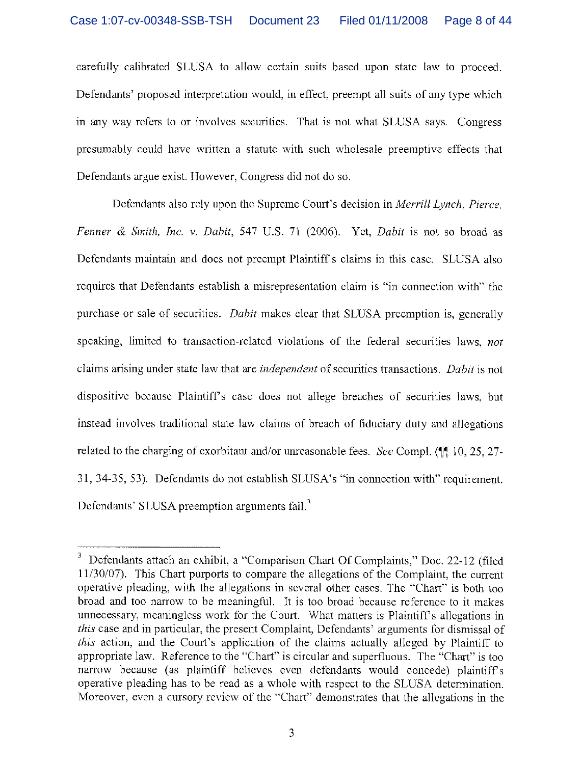carefully calibrated SLUSA to allow certain suits based upon state law to proceed. Defendants' proposed interpretation would, in effect, preempt all, suits of any type which in any way refers to or involves securities. That is not what SLUSA says. Congress presumably could have written a statute with such wholesale preemptive effects that Defendants argue exist. However, Congress did not do so.

Defendants also rely upon the Supreme Court's decision in Merrill Lynch, Pierce, Fenner & Smith, Inc. v. Dabit, 547 U.S. 71 (2006). Yet, Dabit is not so broad as Defendants maintain and does not preempt Plaintiff's claims in this case. SLUSA also requires that Defendants establish a misrepresentation claim is "in. connection with" the purchase or sale of securities. *Dabit* makes clear that SLUSA preemption is, generally speaking, limited to transaction-related violations of the federal securities laws, not claims arising under state law that are *independent* of securities transactions. *Dabit* is not dispositive because Plaintiff's case does not allege breaches of securities laws, but instead involves traditional state law claims of breach of fiduciary duty and allegations related to the charging of exorbitant and/or unreasonable fees. See Compl. ( $\mathbb{I}$  10, 25, 27-31, 34-35, 53). Defendants do not establish SLUSA's "in connection with" requirement. Defendants' SLUSA preemption arguments fail.<sup>3</sup>

Defendants attach an exhibit, a "Comparison Chart Of Complaints," Doc. 22-12 (filed 11/30/07). This Chart purports to compare the allegations of the Complaint, the current operative pleading, with the allegations in several other cases. The "Chart" is both too broad and too narrow to be meaningful. It is too broad because reference to it makes unnecessary, meaningless work for the Court. What matters is Plaintiff's allegations in this case and in particular, the present Complaint, Defendants' arguments for dismissal of this action, and the Court's application of the claims actually alleged by Plaintiff to appropriate law. Reference to the "Chart" is circular and superfluous. The "Chart" is too narrow because (as plaintiff believes even defendants would concede) plaintiffs operative pleading has to be read as a whole with respect to the SLUSA determination. Moreover, even a cursory review of the "Chart" demonstrates that the allegations in the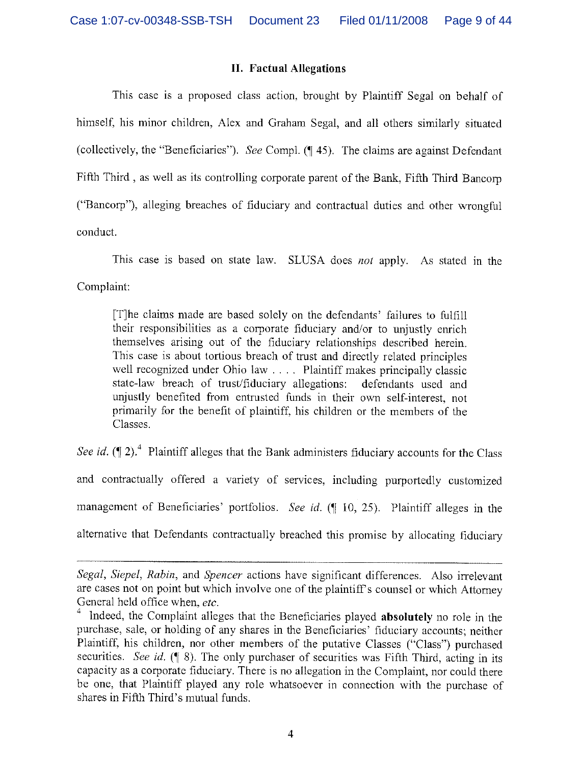## II. Factual Allegations

This case is a proposed class action, brought by Plaintiff Segal on behalf of himself, his minor children, Alex and Graham Segal, and all others similarly situated (collectively, the "Beneficiaries"). See Compl.  $(\P 45)$ . The claims are against Defendant Fifth Third, as well as its controlling corporate parent of the Bank, Fifth Third Bancorp ("Bancorp"), alleging breaches of fiduciary and contractual duties and other wrongful conduct.

This case is based on state law. SLUSA does not apply. As stated in the Complaint:

[T]he claims made are based solely on the defendants' failures to fulfill their responsibilities as a corporate fiduciary and/or to unjustly enrich themselves arising out of the fiduciary relationships described herein. This case is about tortious breach of trust and directly related principles well recognized under Ohio law  $\dots$ . Plaintiff makes principally classic state-law breach of trust/fiduciary allegations: defendants used and unjustly benefited from entrusted funds in their own self-interest, not primarily for the benefit of plaintiff, his children or the members of the Classes.

See id.  $(\P 2)^4$  Plaintiff alleges that the Bank administers fiduciary accounts for the Class and contractually offered a variety of services, including purportedly customized management of Beneficiaries' portfolios. See id.  $($  $\parallel$  10, 25). Plaintiff alleges in the alternative that Defendants contractually breached this promise by allocating fiduciary

Segal, Siepel, Rabin, and Spencer actions have significant differences. Also irrelevant are cases not on point but which involve one of the plaintiffs counsel or which Attomey General held office when, etc.

 $1$  Indeed, the Complaint alleges that the Beneficiaries played absolutely no role in the purchase, sale, or holding of any shares in the Beneficiaries' fiduciary accounts; neither Plaintiff, his children, nor other members of the putative Classes ("Class") purchased securities. See id. ( $\parallel$  8). The only purchaser of securities was Fifth Third, acting in its capacity as a corporate fiduciary. There is no allegation in the Complaint, nor could there be one, that Plaintiff played any role whatsoever in connection with the purchase of shares in Fifth Third's mutual funds.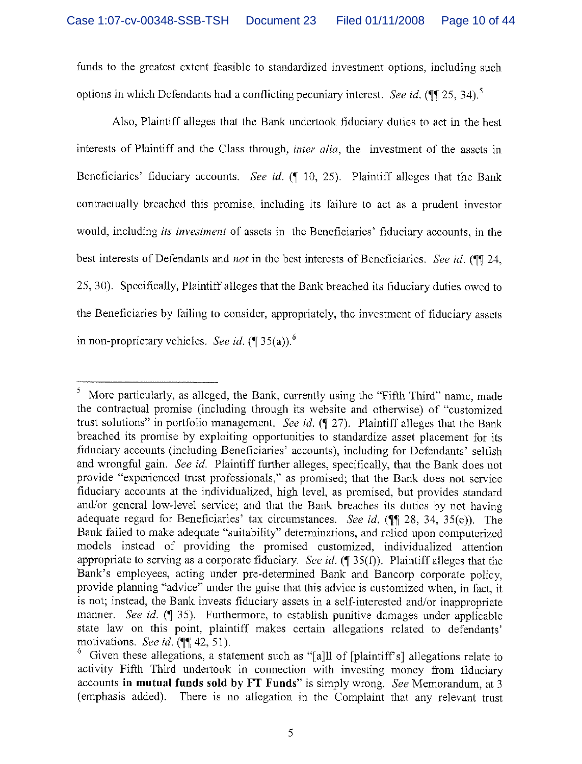funds to the greatest extent feasible to standardized investment options, including such options in which Defendants had a conflicting pecuniary interest. See id. ( $\P$ [125, 34),<sup>5</sup>

Also, Plaintiff alleges that the Bank undertook fiduciary duties to act in the best interests of Plaintiff and the Class through, *inter alia*, the investment of the assets in Beneficiaries' fiduciary accounts. See id. (¶ 10, 25). Plaintiff alleges that the Bank contractually breached this promise, including its failure to act as a prudent investor would, including its investment of assets in the Beneficiaries' fiduciary accounts, in the best interests of Defendants and *not* in the best interests of Beneficiaries. See id. (III 24, 25, 30). Specifically, Plaintiff alleges that the Bank breached its fiduciary duties owed to the Beneficiaries by failing to consider, appropriately, the investment of fiduciary assets in non-proprietary vehicles. See id.  $(\P 35(a))$ .<sup>6</sup>

 $<sup>5</sup>$  More particularly, as alleged, the Bank, currently using the "Fifth Third" name, made</sup> the contractual promise (including through its website and otherwise) of "customized trust solutions" in portfolio management. See id.  $(9 27)$ . Plaintiff alleges that the Bank breached its promise by exploiting opportunities to standardize asset placement for its fiduciary accounts (including Beneficiaries' accounts), including for Defendants' selfish and wrongful gain. See id. Plaintiff further alleges, specifically, that the Bank does not provide "experienced trust professionals," as promised; that the Bank does not service fiduciary accounts at the individualized, high level, as promised, but provides standard and/or general low-level service; and that the Bank breaches its duties by not having adequate regard for Beneficiaries' tax circumstances. See id. ( $\P$  28, 34, 35(e)). The Bank failed to make adequate "suitability" determinations, and relied upon computerized models instead of providing the promised customized, individualized attention appropriate to serving as a corporate fiduciary. See id.  $(\P 35(f))$ . Plaintiff alleges that the Bank's employees, acting under pre-determined Bank and Bancorp corporate policy, provide planning "advice" under the guise that this advice is customized when, in fact, it is not; instead, the Bank invests fiduciary assets in a self-interested and/or inappropriate manner. See id.  $(\sqrt{\phantom{a}}\,35)$ . Furthermore, to establish punitive damages under applicable state law on this point, plaintiff makes certain allegations related to defendants'

motivations. See id. ( $\parallel$  42, 51).<br><sup>6</sup> Given these allegations, a statement such as "[a]l] of [plaintiff's] allegations relate to activity Fifth Third undertook in connection with investing money from fiduciary accounts in mutual funds sold by FT Funds" is simply wrong. See Memorandum, at 3 (emphasis added). There is no allegation in the Complaint that any relevant trust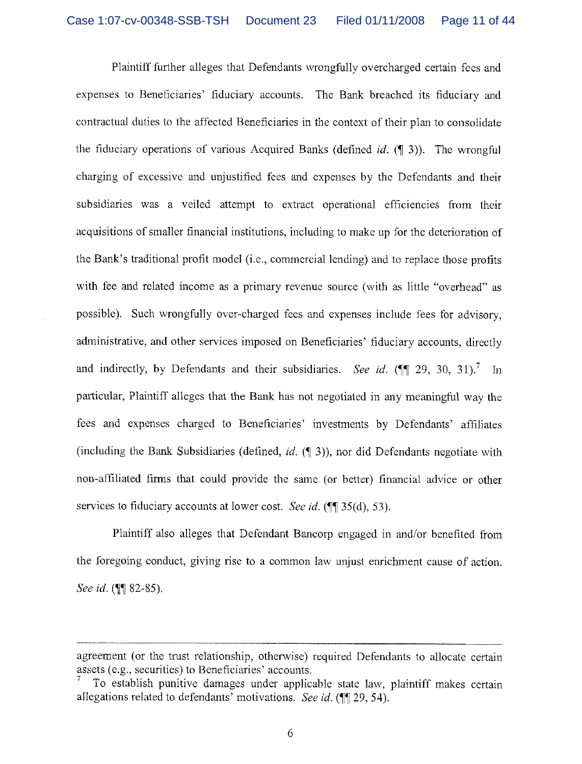Plaintiff further alleges that Defendants wrongfully overcharged certain fees and expenses to Beneficiaries' fiduciary accounts. The Bank breached its fiduciary and contractual duties to the affected Beneficiaries in the context of their plan to consolidate the fiduciary operations of various Acquired Banks (defined  $id$ . ( $\parallel$  3)). The wrongful charging of excessive and unjustified fees and expenses by the Defendants and their subsidiaries was a veiled attempt to extract operational efficiencies from their acquisitions of smaller financial institutions, including to make up for the deterioration of the Bank's traditional profit model (i.e., commercial lending) and to replace those profits with fee and related income as a primary revenue source (with as little "overhead" as possible). Such wrongfully over-charged fees and expenses include fees for advisory, administrative, and other services imposed on Beneficiaries' fiduciary accounts, directly and indirectly, by Defendants and their subsidiaries. See id. ( $\P$  $[29, 30, 31$ ). In particular, Plaintiff alleges that the Bank has not negotiated in any meaningful way the fees and expenses charged to Beneficiaries' investments by Defendants' affiliates (including the Bank Subsidiaries (defined, id.  $(\P 3)$ ), nor did Defendants negotiate with non-affiliated firms that could provide the same (or better) financial advice or other services to fiduciary accounts at lower cost. See id.  $(\P\P 35(d), 53)$ .

Plaintiff also alleges that Defendant Bancorp engaged in and/or benefited from the foregoing conduct, giving rise to a common law unjust enrichment cause of action. See id. ( $\sqrt{982-85}$ ).

agreement (or the trust relationship, otherwise) required Defendants to allocate certain assets (e.g., securities) to Beneficiaries' accounts.

To establish punitive damages under applicable state law, plaintiff makes certain allegations related to defendants' motivations. See id.  $($  [[ 29, 54).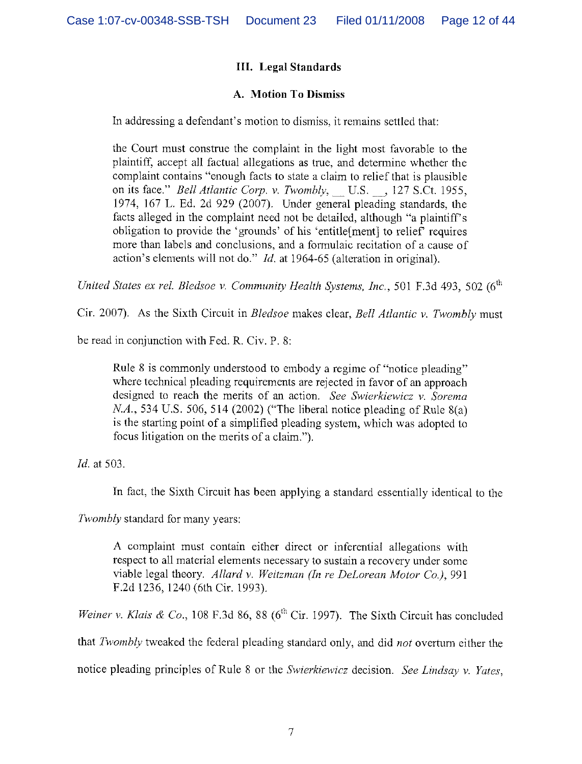# III. Legal Standards

## A. Motion To Dismiss

In addressing a defendant's motion to dismiss, it remains settled that:

the Court must construe the complaint in the light most favorable to the plaintiff, accept all factual allegations as true, and determine whether the complaint contains "enough facts to state a claim to relief that is plausible on its face." Bell Atlantic Corp. v. Twombly, U.S., 127 S.Ct. 1955, 1974, 167 L. Ed. 2d 929 (2007). Under general pleading standards, the facts alleged in the complaint need not be detailed, although "a plaintiff's obligation to provide the 'grounds' of his 'entitle[ment] to relief' requires more than labels and conclusions, and a formulaic recitation of a cause of action's elements will not do."  $Id$ , at 1964-65 (alteration in original).

United States ex rel. Bledsoe v. Community Health Systems, Inc., 501 F.3d 493, 502 ( $6<sup>th</sup>$ 

Cir. 2007). As the Sixth Circuit in Bledsoe makes clear, Bell Atlantic v. Twombly must

be read in conjunction with Fed. R. Civ. P. 8:

Rule 8 is commonly understood to embody a regime of "notice pleading" where technical pleading requirements are rejected in favor of an approach designed to reach the merits of an action. See Swierkiewicz v. Sorema N.A., 534 U.S. 506, 514 (2002) ("The liberal notice pleading of Rule 8(a) is the starting point of a simplified pleading system, which was adopted to focus litigation on the merits of a claim.").

Id. at 503.

In fact, the Sixth Circuit has been applying a standard essentially identical to the

Twombly standard for many years:

A complaint must contain either direct or inferential allegations with respect to all material elements necessary to sustain a recovery under some viable legal theory. Allard v. Weitzman (In re DeLorean Motor Co.), 991 F.2d 1236, 1240 (6th Cir. 1993).

Weiner v. Klais & Co., 108 F.3d 86, 88 ( $6<sup>th</sup>$  Cir. 1997). The Sixth Circuit has concluded that Twombly tweaked the federal pleading standard only, and did not overturn either the

notice pleading principles of Rule 8 or the Swierkiewicz decision. See Lindsay v. Yates,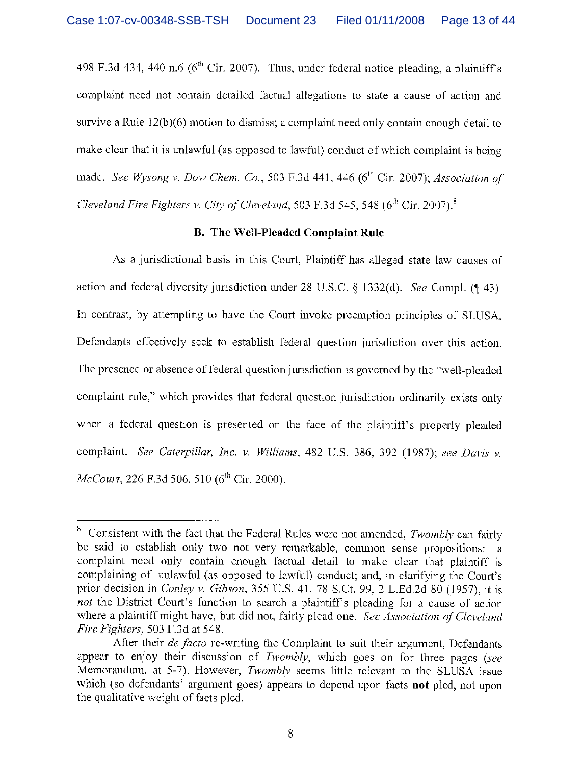498 F.3d 434, 440 n.6 ( $6<sup>th</sup>$  Cir. 2007). Thus, under federal notice pleading, a plaintiff's complaint need not contain detailed factual allegations to state a cause of action and survive a Rule 12(b)(6) motion to dismiss; a complaint need only contain enough detail to make clear that it is unlawful (as opposed to lawful) conduct of which complaint is being made. See Wysong v. Dow Chem. Co., 503 F.3d 441, 446 ( $6<sup>th</sup> Cir. 2007$ ); Association of Cleveland Fire Fighters v. City of Cleveland, 503 F.3d 545, 548 ( $6<sup>th</sup>$  Cir. 2007).<sup>8</sup>

#### B. The Well-Pleaded Complaint Rule

As a jurisdictional basis in this Court, Plaintiff has alleged state law causes of action and federal diversity jurisdiction under 28 U.S.C.  $\S$  1332(d). See Compl. (¶ 43). In contrast, by attempting to have the Court invoke preemption principles of SLUSA, Defendants effectively seek to establish federal question jurisdiction over this action. The presence or absence of federal question jurisdiction is governed by the "well-pleaded" complaint rule," which provides that federal question jurisdiction ordinarily exists only when, a federal question is presented on the face of the plaintiff's properly pleaded complaint. See Caterpillar, Inc. v. Williams, 482 U.S. 386, 392 (1987); see Davis v.  $McConrt$ , 226 F.3d 506, 510 (6<sup>th</sup> Cir. 2000).

Consistent with the fact that the Federal Rules were not amended, Twombly can fairly be said to establish only two not very remarkable, common sense propositions: a complaint need only contain enough factual detail to make clear that plaintiff is complaining of unlawful (as opposed to lawful) conduct; and, in clarifying the Court's prior decision in Conley v. Gibson, 355 U.S. 41, 78 S.Ct. 99, 2 L.Ed,2d 80 (1957), it is not the District Court's function to search a plaintiff's pleading for a cause of action where a plaintiff might have, but did not, fairly plead one. See Association of Cleveland Fire Fighters, 503 F.3d at 548.

After their *de facto* re-writing the Complaint to suit their argument, Defendants appear to enjoy their discussion of Twombly, which goes on for three pages (see Memorandum, at 5-7). However, *Twombly* seems little relevant to the SLUSA issue which (so defendants' argument goes) appears to depend upon facts **not** pled, not upon the qualitative weight of facts pled.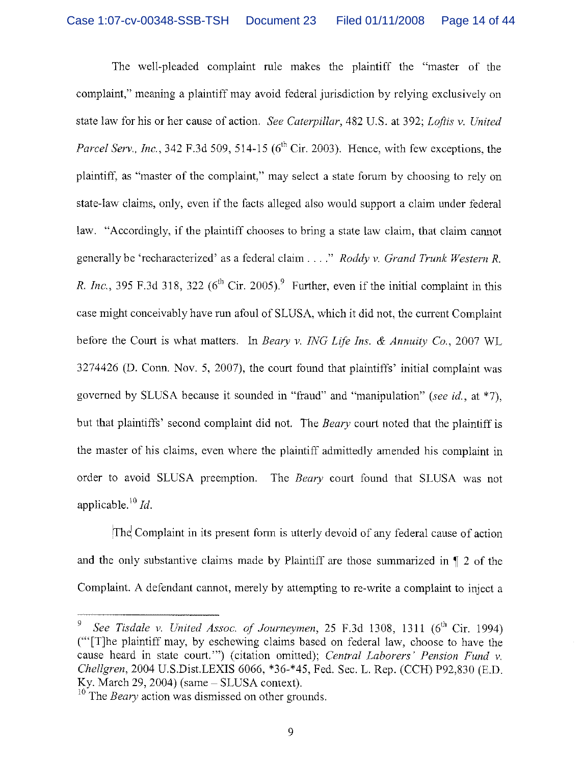The well-pleaded complaint rule makes the plaintiff the "master of the complaint," meaning a plaintiff may avoid federal jurisdiction by relying exclusively on state law for his or her cause of action. See Caterpillar, 482 U.S. at 392; Loftis v. United Parcel Serv., Inc., 342 F.3d 509, 514-15 ( $6<sup>th</sup>$  Cir. 2003). Hence, with few exceptions, the plaintiff, as "master of the complaint," may select a state forum by choosing to rely on state-law claims, only, even if the facts alleged also would support a claim under federal law. "Accordingly, if the plaintiff chooses to bring a state law claim, that claim cannot generally be 'recharacterized' as a federal claim  $\ldots$ ." Roddy v. Grand Trunk Western R. R. Inc., 395 F.3d 318, 322 ( $6<sup>th</sup>$  Cir. 2005).<sup>9</sup> Further, even if the initial complaint in this case might conceivably have run afoul of SLUSA, which it did not, the current Complaint before the Court is what matters. In Beary v. ING Lfe Ins. & Annuity Co., 2007 WL 3274426 (D. Conn. Nov. 5, 2007), the court found that plaintiffs' initial complaint was governed by SLUSA because it sounded in "fraud" and "manipulation" (see id., at \*7). but that plaintiffs' second complaint did not. The *Beary* court noted that the plaintiff is the master of his claims, even where the plaintiff admittedly amended his complaint in order to avoid SLUSA preemption. The Beary court found that SLUSA was not applicable.<sup>10</sup> Id.

The Complaint in its present form is utterly devoid of any federal cause of action and the only substantive claims made by Plaintiff are those summarized in ¶ 2 of the Complaint. A defendant cannot, merely by attempting to re-write a complaint to inject a

<sup>9</sup> See Tisdale v. United Assoc. of Journeymen, 25 F.3d 1308, 1311  $(6<sup>th</sup>$  Cir. 1994) ("[T]he plaintiff may, by eschewing claims based on federal law, choose to have the cause heard in state court."") (citation omitted); Central Laborers' Pension Fund v. Chellgren, 2004 U.S.Dist.LEXIS 6066, \*36-\*45, Fed. Sec. L. Rep. (CCH) P92,830 (E.D. Ky. March 29, 2004) (same – SLUSA context).

 $^{10}$  The *Beary* action was dismissed on other grounds.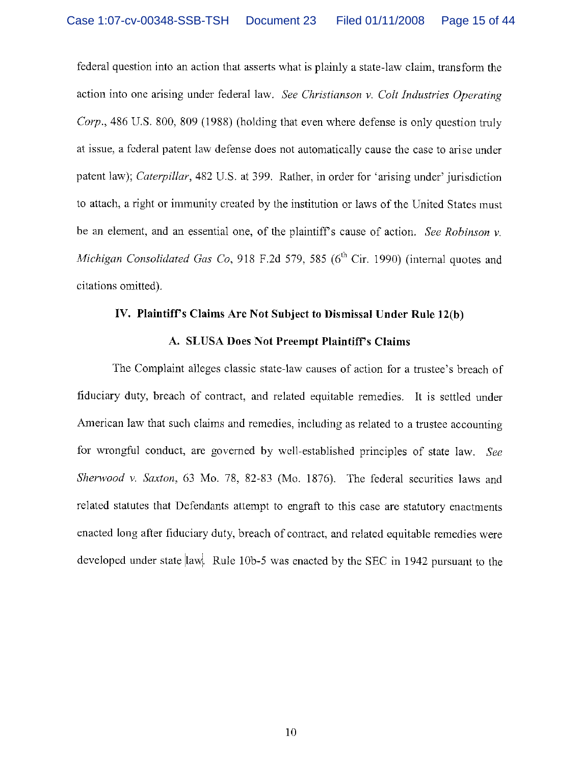federal question into an action that asserts what is plainly a state-law claim, transform the action into one arising under federal law. See Christianson v. Colt Industries Operating Corp., 486 U.S. 800, 809 (1988) (holding that even where defense is only question truly at issue, a federal patent law defense does not automatically cause the case to arise under patent law); Caterpillar, 482 U.S. at 399, Rather, in order for 'arising under' jurisdiction to attach, a right or immunity created by the institution or laws of the United States must be an element, and an essential one, of the plaintiff's cause of action. See Robinson  $v$ . Michigan Consolidated Gas Co, 918 F.2d 579, 585 ( $6<sup>th</sup>$  Cir. 1990) (internal quotes and citations omitted).

#### IV. Plaintiff's Claims Are Not Subject to Dismissal Under Rule 12(b)

#### A. SLUSA Does Not Preempt Plaintiff's Claims

The Complaint alleges classic state-law causes of action for a trustee's breach of fiduciary duty, breach of contract, and related equitable remedies. It is settled under American law that such claims and remedies, including as related to a trustee accounting for wrongful conduct, are governed by well-established principles of state law. See Sherwood v. Saxton, 63 Mo. 78, 82-83 (Mo. 1876). The federal securities laws and related statutes that Defendants attempt to engraft to this case are statutory enactments enacted long after fiduciary duty, breach of contract, and related equitable remedies were developed under state  $\vert \text{law} \vert$ . Rule 10b-5 was enacted by the SEC in 1942 pursuant to the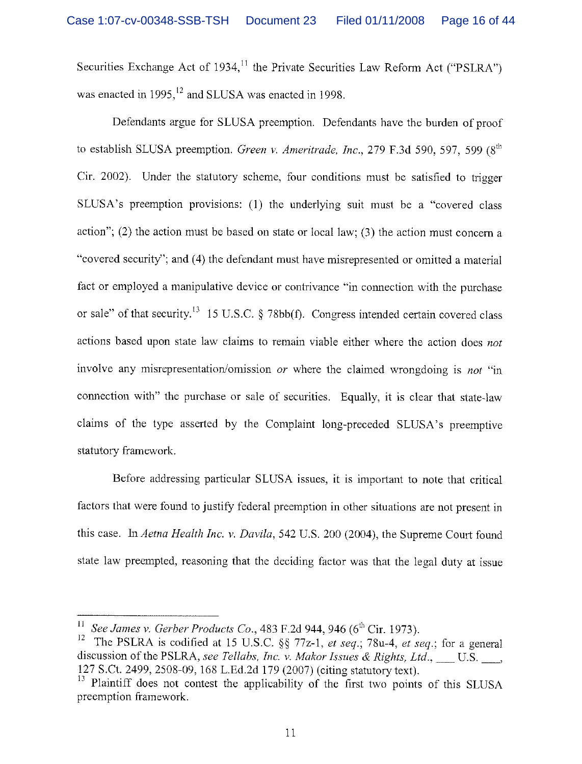Securities Exchange Act of 1934,<sup>11</sup> the Private Securities Law Reform Act ("PSLRA") was enacted in  $1995$ ,  $^{12}$  and SLUSA was enacted in 1998.

Defendants argue for SLUSA preemption. Defendants have the burden of proof to establish SLUSA preemption. Green v. Ameritrade, Inc., 279 F.3d 590, 597, 599 ( $8<sup>th</sup>$ Cir. 2002). Under the statutory scheme, four conditions must be satisfied to trigger SLUSA's preemption provisions: (1) the underlying suit must be a "covered class action"; (2) the action must be based on state or local law; (3) the action must concern a "covered security"; and (4) the defendant must have misrepresented or omitted a material fact or employed a manipulative device or contrivance "in connection with the purchase or sale" of that security.<sup>13</sup> 15 U.S.C. § 78bb(f). Congress intended certain covered class actions based upon state law claims to remain viable either where the action does not involve any misrepresentation/omission or where the claimed wrongdoing is not "in connection with" the purchase or sale of securities. Equally, it is clear that state-law claims of the type asserted by the Complaint long-preceded SLUSA's preemptive statutory framework.

Before addressing particular SLUSA issues, it is important to note that critical factors that were found to justify federal preemption in other situations are not present in this case. In Aetna Health Inc. v. Davila, 542 U.S. 200(2004), the Supreme Court found state law preempted, reasoning that the deciding factor was that the legal duty at issue

 $^{11}$  See James v. Gerber Products Co., 483 F.2d 944, 946 (6<sup>th</sup> Cir. 1973).

<sup>&</sup>lt;sup>12</sup> The PSLRA is codified at 15 U.S.C. §§ 77z-1, et seq.; 78u-4, et seq.; for a general discussion of the PSLRA, see Tellabs, Inc. v. Makor Issues & Rights, Ltd.,  $\quad$  U.S.  $\quad$ , 127 S.Ct. 2499,2508-09, 168 L.Ed.2d 179 (2007) (citing statutory text).

<sup>&</sup>lt;sup>13</sup> Plaintiff does not contest the applicability of the first two points of this SLUSA preemption framework.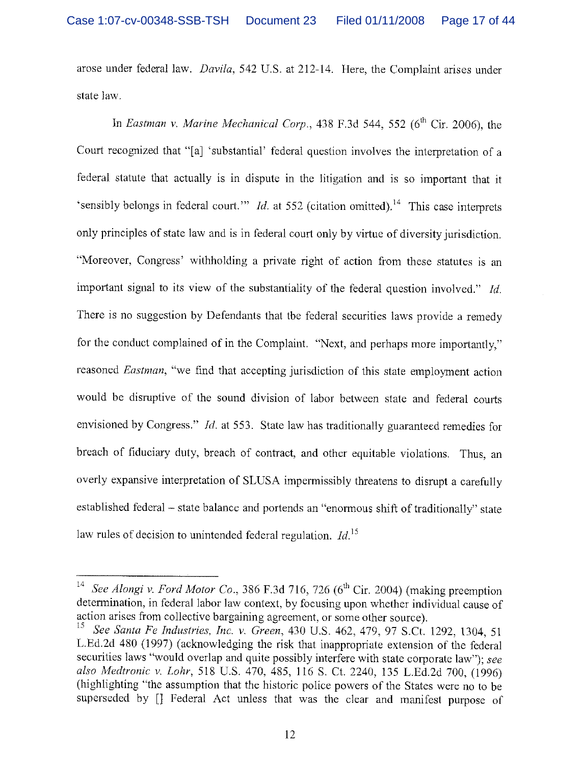arose under federal law. Davila, 542 U.S. at 212-14. Here, the Complaint arises under state law.

In Eastman v. Marine Mechanical Corp., 438 F.3d 544, 552 ( $6<sup>th</sup>$  Cir. 2006), the Court recognized that "[a] 'substantial' federal question involves the interpretation of a federal statute that actually is in dispute in the litigation and is so important that it 'sensibly belongs in federal court." Id. at 552 (citation omitted).<sup>14</sup> This case interprets only principles of state law and is in federal court only by virtue of diversity jurisdiction. "Moreover, Congress' withholding a private right of action from these statutes is an important signal to its view of the substantiality of the federal question involved." Id. There is no suggestion by Defendants that the federal securities laws provide a remedy for the conduct complained of in the Complaint. "Next, and perhaps more importantly," reasoned Eastman, "we find that accepting jurisdiction of this state employment action would be disruptive of the sound division of labor between state and federal courts envisioned by Congress." *Id.* at 553. State law has traditionally guaranteed remedies for breach of fiduciary duty, breach of contract, and other equitable violations. Thus, an overly expansive interpretation of SLUSA impermissibly threatens to disrupt a carefully established federal - state balance and portends an "enormous shift of traditionally" state law rules of decision to unintended federal regulation.  $Id$ <sup>15</sup>

See Alongi v. Ford Motor Co., 386 F.3d 716, 726 ( $6<sup>th</sup>$  Cir. 2004) (making preemption determination, in federal labor law context, by focusing upon whether individual cause of action arises from collective bargaining agreement, or some other source).

See Santa Fe Industries, Inc. v. Green, 430 U.S. 462, 479, 97 S.Ct. 1292, 1304, 51 L.Ed.2d 480 (1997) (acknowledging the risk that inappropriate extension of the federal securities laws "would overlap and quite possibly interfere with state corporate law"); see also Medtronic v. Lohr, 518 U.S. 470, 485, 116 S. Ct. 2240, 135 L.Ed.2d 700, (1996) (highlighting "the assumption that the historic police powers of the States were no to be superseded by [] Federal Act unless that was the clear and manifest purpose of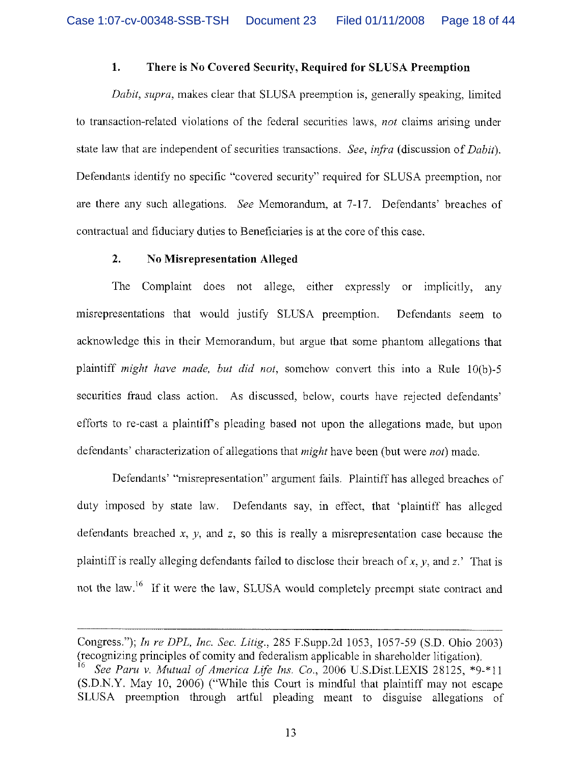#### 1. There is No Covered Security, Required for SLUSA Preemption

Dabit, supra, makes clear that SLUSA preemption is, generally speaking, limited to transaction-related violations of the federal securities laws, not claims arising under state law that are independent of securities transactions. See, *infra* (discussion of *Dabit*). Defendants identify no specific "covered security" required for SLUSA preemption, nor are there any such allegations. See Memorandum, at 7-17. Defendants' breaches of contractual and fiduciary duties to Beneficiaries is at the core of this case.

### 2. No Misrepresentation Alleged

The Complaint does not allege, either expressly or implicitly, any misrepresentations that would justify SLUSA preemption.. Defendants seem to acknowledge this in their Memorandum, but argue that some phantom allegations that plaintiff might have made, but did not, somehow convert this into a Rule 10(b)-S securities fraud class action. As discussed, below, courts have rejected defendants' efforts to re-cast a plaintiff's pleading based not upon the allegations made, but upon defendants' characterization of allegations that *might* have been (but were *not*) made.

Defendants' "misrepresentation" argument fails. Plaintiff has alleged breaches of duty imposed by state law. Defendants say, in effect, that 'plaintiff has alleged defendants breached  $x$ ,  $y$ , and  $z$ , so this is really a misrepresentation case because the plaintiff is really alleging defendants failed to disclose their breach of x, y, and z.' That is not the law.<sup>16</sup> If it were the law, SLUSA would completely preempt state contract and

Congress."); In re DPL, Inc. Sec. Litig., 285 F.Supp.2d 1053, 1057-59 (S.D. Ohio 2003) (recognizing principles of comity and federalism applicable in shareholder litigation).<br><sup>16</sup> See Paru y. Mutual of America Life Ins. Co., 2006 LLS Dist LEVIS 28125, \*0.

See Paru v. Mutual of America Life Ins. Co., 2006 U.S.Dist.LEXIS 28125,  $*9.*11$ (S.D,N.Y. May 10, 2006) ("While this Court is mindful that plaintiff may not escape SLUSA preemption through artful pleading meant to disguise allegations of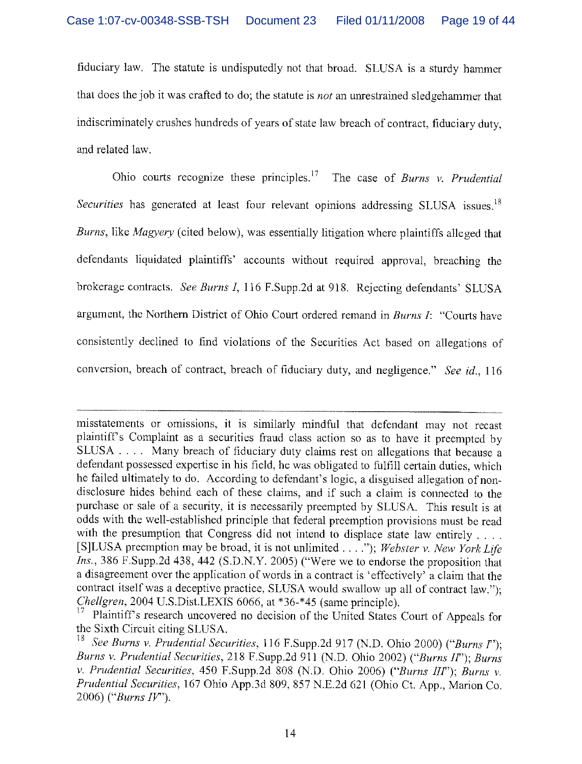fiduciary law. The statute is undisputedly not that broad. SLUSA is a sturdy hammer that does the job it was crafted to do; the statute is not an unrestrained sledgehammer that indiscriminately crushes hundreds of years of state law breach of contract, fiduciary duty, and related law.

Ohio courts recognize these principles.<sup>17</sup> The case of Burns v. Prudential Securities has generated at least four relevant opinions addressing SLUSA issues.<sup>18</sup> Burns, like Magyery (cited below), was essentially litigation where plaintiffs alleged that defendants liquidated plaintiffs' accounts without required approval, breaching the brokerage contracts. See Burns I, 116 F.Supp.2d at 918. Rejecting defendants' SLUSA argument, the Northern District of Ohio Court ordered remand in Burns I: "Courts have consistently declined to find violations of the Securities Act based on allegations of conversion, breach of contract, breach of fiduciary duty, and negligence." See id., 116

misstatements or omissions, it is similarly mindful that defendant may not recast plaintiff's Complaint as a securities fraud class action so as to have it preempted by SLUSA . . . . Many breach of fiduciary duty claims rest on allegations that because a defendant possessed expertise in his field, he was obligated to fulfill certain duties, which he failed ultimately to do. According to defendant's logic, a disguised allegation of nondisclosure hides behind each of these claims, and if such a claim is connected to the purchase or sale of a security, it is necessarily preempted by SLUSA. This result is at odds with the well-established principle that federal preemption provisions must be read with the presumption that Congress did not intend to displace state law entirely .... [S]LUSA preemption may be broad, it is not unlimited  $\dots$ "); Webster v. New York Life Ins., 386 F.Supp.2d 438, 442 (S.D.N.Y. 2005) ("Were we to endorse the proposition that a disagreement over the application of words in a contract is 'effectively' a claim that the contract itself was a deceptive practice, SLUSA would swallow up all of contract law."); Chellgren, 2004 U.S.Dist.LEXIS 6066, at \*36-\*45 (same principle).

Plaintiff's research uncovered no decision of the United States Court of Appeals for the Sixth Circuit citing SLUSA.

<sup>&</sup>lt;sup>18</sup> See Burns v. Prudential Securities, 116 F.Supp.2d 917 (N.D. Ohio 2000) ("Burns I"); Burns v. Prudential Securities, 218 F.Supp.2d 911 (N.D. Ohio 2002) ("Burns If'); Burns v. Prudential Securities, 450 F.Supp.2d 808 (N.D. Ohio 2006) ("Burns III"); Burns v. Prudential Securities, 167 Ohio App.3d 809, 857 N.E.2d 621 (Ohio Ct. App., Marion Co. 2006) ("Burns  $IV$ ").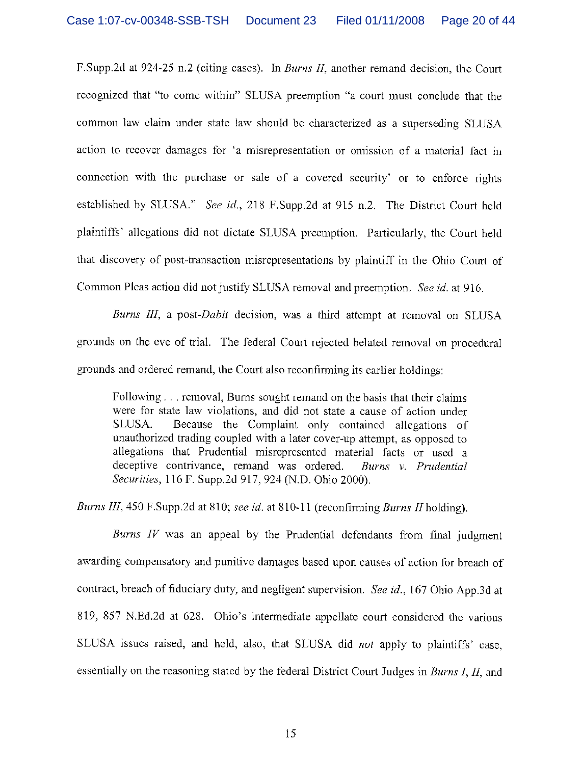F.Supp.2d at 924-25 n.2 (citing cases). In *Burns II*, another remand decision, the Court recognized that "to come within" SLUSA preemption "a court must conclude that the common law claim under state law should be characterized as a superseding SLUSA action to recover damages for 'a misrepresentation or omission of a material fact in connection with the purchase or sale of a covered security' or to enforce rights established by SLUSA." See id., 218 F.Supp.2d at 915 n.2. The District Court held plaintiffs' allegations did not dictate SLUSA preemption. Particularly, the Court held that discovery of post-transaction misrepresentations by plaintiff in the Ohio Court of Common Pleas action did not justify SLUSA removal and preemption. See id. at 916.

Burns III, a post-Dabit decision, was a third attempt at removal on SLUSA grounds on the eve of trial. The federal Court rejected belated removal on procedural grounds and ordered remand, the Court also reconfirming its earlier holdings:

Following . . . removal, Bums sought remand on the basis that their claims were for state law violations, and did not state a cause of action under SLUSA. Because the Complaint only contained allegations of unauthorized trading coupled with a later cover-up attempt, as opposed to allegations that Prudential misrepresented material facts or used a deceptive contrivance, remand was ordered. Burns  $v$ . Prudential Securities, 116 F. Supp.2d 917, 924 (N.D. Ohio 2000).

Burns III, 450 F.Supp.2d at 810; see id. at 810-11 (reconfirming Burns II holding).

Burns  $IV$  was an appeal by the Prudential defendants from final judgment awarding compensatory and punitive damages based upon causes of action for breach of contract, breach of fiduciary duty, and negligent supervision. See id., 167 Ohio App.3d at 819, 857 N.Ed.2d at 628. Ohio's intermediate appellate court considered the various SLUSA issues raised, and held, also, that SLUSA did not apply to plaintiffs' case, essentially on the reasoning stated by the federal District Court Judges in Burns I, II, and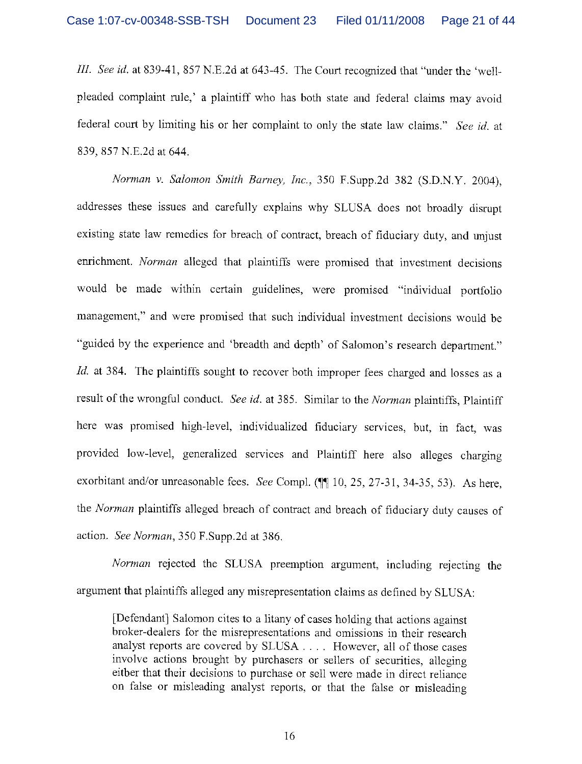III. See id. at 839-41, 857 N.E.2d at 643-45. The Court recognized that "under the 'wellpleaded complaint rule,' a plaintiff who has both state and federal claims may avoid federal court by limiting his or her complaint to only the state law claims." See id. at 839, 857 N.E.2d at 644.

Norman v. Salomon Smith Barney, Inc., 350 F.Supp.2d 382 (S.D.N.Y. 2004), addresses these issues and carefully explains why SLUSA does not broadly disrupt existing state law remedies for breach of contract, breach of fiduciary duty, and unjust enrichment. Norman alleged that plaintiffs were promised that investment decisions would be made within certain guidelines, were promised "individual portfolio management," and were promised that such individual investment decisions would be "guided by the experience and 'breadth and depth' of Salomon's research department."  $Id$ . at 384. The plaintiffs sought to recover both improper fees charged and losses as a result of the wrongful conduct. See id. at 385. Similar to the Norman plaintiffs, Plaintiff here was promised high-level, individualized fiduciary services, but, in fact, was provided low-level, generalized services and Plaintiff here also alleges charging exorbitant and/or unreasonable fees. See Compl. (11 10, 25, 27-31, 34-35, 53). As here, the Norman plaintiffs alleged breach of contract and breach of fiduciary duty causes of action. See Norman, 350 F.Supp.2d at 386.

Norman rejected the SLUSA preemption argument, including rejecting the argument that plaintiffs alleged any misrepresentation claims as defined by SLUSA:

[Defendant] Salomon cites to a litany of cases holding that actions against broker-dealers for the misrepresentations and omissions in their research analyst reports are covered by SLUSA . . . . However, all of those cases involve actions brought by purchasers or sellers of securities, alleging either that their decisions to purchase or sell were made in direct reliance on false or misleading analyst reports, or that the false or misleading

16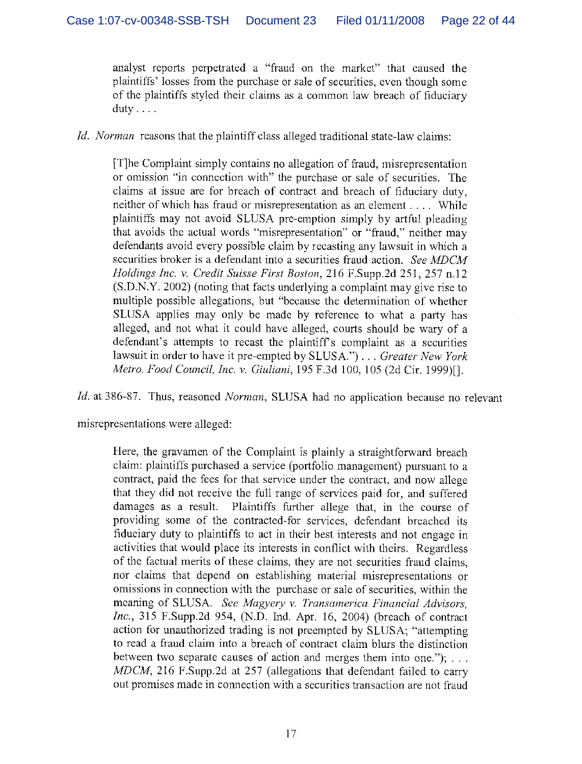analyst reports perpetrated a "fraud on the market" that caused the plaintiffs' losses from the purchase or sale of securities, even though some of the plaintiffs styled their claims as a common law breach of fiduciary duty . . . .

Id. Norman reasons that the plaintiff class alleged traditional state-law claims:

[T]he Complaint simply contains no allegation of fraud, misrepresentation or omission "in connection with" the purchase or sale of securities. The claims at issue are for breach of contract and breach of fiduciary duty, neither of which has fraud or misrepresentation as an element . . . . While plaintiffs may not avoid SLUSA pre-emption simply by artful pleading that avoids the actual words "misrepresentation" or "fraud," neither may defendants avoid every possible claim by recasting any lawsuit in which a securities broker is a defendant into a securities fraud action. See MDCM Holdings Inc. v. Credit Suisse First Boston, 216 F.Supp.2d 251, 257 n.12 (S.D.N.Y. 2002) (noting that facts underlying a complaint may give rise to multiple possible allegations, but "because the determination of whether SLUSA applies may only be made by reference to what a party has alleged, and not what it could have alleged, courts should be wary of a defendant's attempts to recast the plaintiff's complaint as a securities lawsuit in order to have it pre-empted by SLUSA.") . . . Greater New York Metro. Food Council, fnc. v. Giuliani, 195 F.3d 100, 105 (2d Cir. 1999)[].

Id. at 386-87. Thus, reasoned Norman, SLUSA had no application because no relevant

misrepresentations were alleged:

Here, the gravamen of the Complaint is plainly a straightforward breach claim: plaintiffs purchased a service (portfolio management) pursuant to a contract, paid the fees for that service under the contract, and now allege that they did not receive the full range of services paid for, and suffered damages as a result. Plaintiffs further allege that, in the course of providing some of the contracted-for services, defendant breached its fiduciary duty to plaintiffs to act in their best interests and not engage in activities that would place its interests in conflict with theirs. Regardless of the factual merits of these claims, they are not securities fraud claims, nor claims that depend on establishing material, misrepresentations or omissions in connection with the purchase or sale of securities, within the meaning of SLUSA. See Magyery v. Transamerica Financial Advisors, Inc., 315 F.Supp.2d 954, (N.D. Ind. Apr. 16, 2004) (breach of contract action for unauthorized trading is not preempted by SLUSA; "attempting to read a fraud claim into a breach of contract claim blurs the distinction between two separate causes of action and merges them into one."); . . . MDCM, 216 F.Supp.2d at 257 (allegations that defendant failed to carry out promises made in connection with a securities transaction are not fraud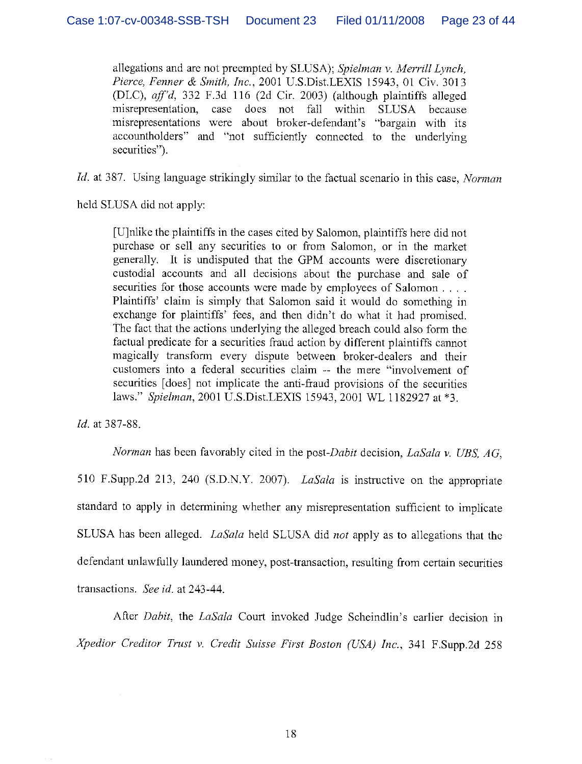allegations and are not preempted by SLUSA); Spielman v. Merrill Lynch, Pierce, Fenner & Smith, Inc., 2001 U.S.Dist.LEXIS 15943, 01 Civ. 3013 (DLC), aff'd, 332 F.3d 116 (2d Cir. 2003) (although plaintiffs alleged misrepresentation, case does not fall within SLUSA because misrepresentations were about broker-defendant's "bargain with its accountholders" and "not sufficiently connected to the underlying securities").

Id. at 387. Using language strikingly similar to the factual scenario in this case, Norman

held SLUSA did not apply:

[U]nlike the plaintiffs in the cases cited by Salornon, plaintiffs here did not purchase or sell any securities to or from Salomon, or in the market generally. It is undisputed that the GPM accounts were discretionary custodial accounts and all decisions about the purchase and sale of securities for those accounts were made by employees of Salomon . . . . Plaintiffs' claim is simply that Salomon said it would do something in exchange for plaintiffs' fees, and then didn't do what it had promised. The fact that the actions underlying the alleged breach could also form the factual predicate for a securities fraud action by different plaintiffs cannot magically transform every dispute between broker-dealers and their customers into a federal securities claim -- the mere "involvement of securities [does] not implicate the anti-fraud provisions of the securities laws." Spielman, 2001 U.S.Dist.LEXIS 15943, 2001 WL 1182927 at \*3.

Id. at 387-88.

Norman has been favorably cited in the post-Dabit decision, LaSala v. UBS.  $AG$ , 510 F.Supp.2d 213, 240 (S.D.N,Y. 2007). LaSala is instructive on the appropriate standard to apply in determining whether any misrepresentation sufficient to implicate SLUSA has been alleged. LaSala held SLUSA did not apply as to allegations that the defendant unlawfully laundered money, post-transaction, resulting from certain securities transactions. See id. at 243-44.

After Dabit, the LaSala Court invoked Judge Scheindlin's earlier decision in Xpedior Creditor Trust v. Credit Suisse First Boston (USA) Inc., 341 F.Supp.2d 258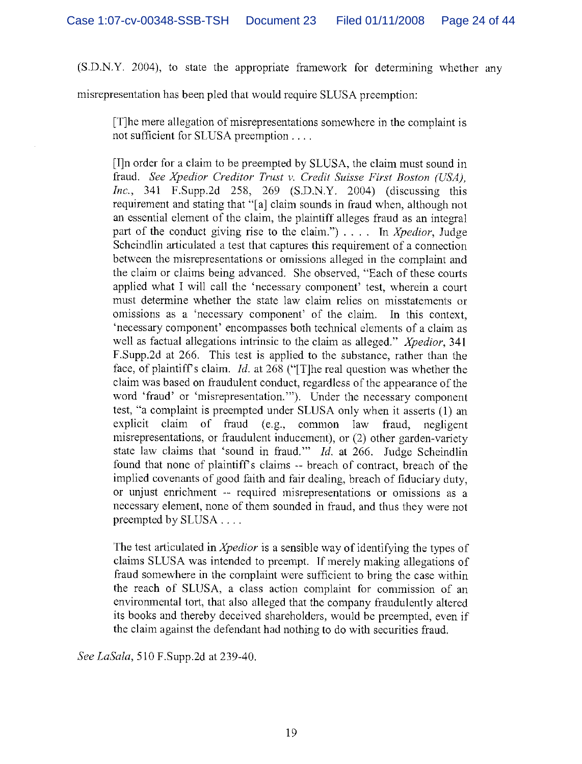(S.D.N.Y. 2004), to state the appropriate framework for determining whether any

misrepresentation has been pled that would require SLUSA preemption:

[T]he mere allegation of misrepresentations somewhere in the complaint is not sufficient for SLUSA preemption .

[Tin order for a claim to be preempted by SLUSA, the claim must sound in fraud. See Xpedior Creditor Trust v. Credit Suisse First Boston (USA), Inc., 341 F.Supp.2d 258, 269 (S.D.N,Y. 2004) (discussing this requirement and stating that "[a] claim sounds in fraud when, although not an essential clement of the claim, the plaintiff alleges fraud as an integral. part of the conduct giving rise to the claim.")  $\ldots$  In *Xpedior*, Judge Scheindlin articulated a test that captures this requirement of a connection between the misrepresentations or omissions alleged in the complaint and the claim or claims being advanced. She observed, "Each of these courts applied what I will call the 'necessary component' test, wherein a court must determine whether the state law claim relies on misstatements or omissions as a 'necessary component' of the claim. in this context, 'necessary component' encompasses both technical. elements of a claim as well as factual allegations intrinsic to the claim as alleged." Xpedior, 341 F.Supp.2d at 266. This test is applied to the substance, rather than the face, of plaintiff's claim. *Id.* at 268 ("[T]he real question was whether the claim was based on fraudulent conduct, regardless of the appearance of the word 'fraud' or 'misrepresentation."). Under the necessary component test, "a complaint is preempted under SLUSA only when it asserts (1) an explicit claim of fraud (e.g., common law fraud, negligent misrepresentations, or fraudulent inducement), or (2) other garden-variety state law claims that 'sound in fraud.'" Id. at 266. Judge Scheindlin found that none of plaintiff's claims -- breach of contract, breach of the implied covenants of good faith and fair dealing, breach of fiduciary duty, or unjust enrichment -- required misrepresentations or omissions as a necessary element, none of them sounded in fraud, and thus they were not preempted by SLUSA. .

The test articulated in *Xpedior* is a sensible way of identifying the types of claims SLUSA was intended to preempt. Tf merely making allegations of fraud somewhere in the complaint were sufficient to bring the case within the reach of SLUSA, a class action complaint for commission of an environmental tort, that also alleged that the company fraudulently altered its books and thereby deceived shareholders, would be preempted, even if the claim against the defendant had nothing to do with securities fraud.

See LaSala, 510 F.Supp.2d at 239-40.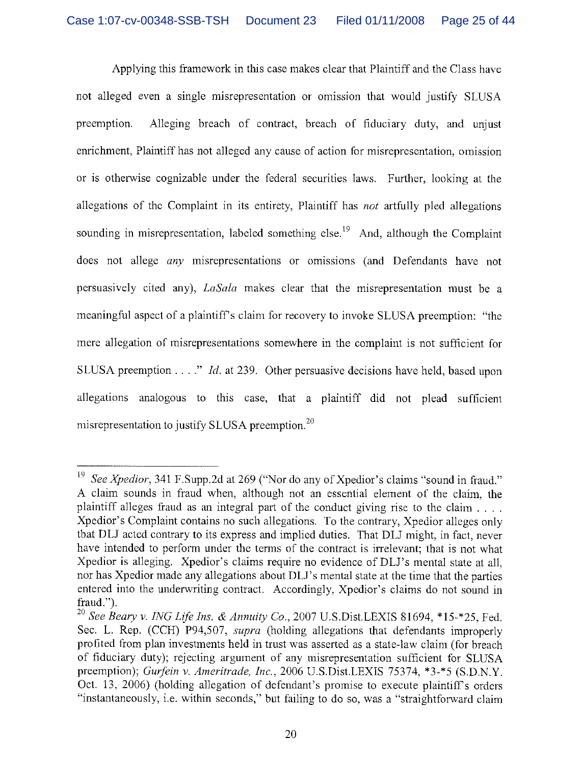Applying this framework in this case makes clear that Plaintiff and the Class have not alleged even a single misrepresentation or omission that would justify SLUSA preemption. Alleging breach of contract, breach of fiduciary duty, and unjust enrichment, Plaintiff has not alleged any cause of action for misrepresentation, omission or is otherwise cognizable under the federal securities laws. Further, looking at the allegations of the Complaint in its entirety, Plaintiff has not artfully pled allegations sounding in misrepresentation, labeled something else.<sup>19</sup> And, although the Complaint does not allege any misrepresentations or omissions (and Defendants have not persuasively cited any), LaSala makes clear that the misrepresentation must he a meaningful aspect of a plaintiffs claim for recovery to invoke SLUSA preemption: "the mere allegation of misrepresentations somewhere in the complaint is not sufficient for SLUSA preemption  $\dots$ ." *Id.* at 239. Other persuasive decisions have held, based upon allegations analogous to this case, that a plaintiff did not plead sufficient misrepresentation to justify SLUSA preemption.<sup>20</sup>

See Xpedior, 341 F.Supp.2d at 269 ("Nor do any of Xpedior's claims "sound in fraud." A claim sounds in fraud when, although not an essential clement of the claim., the plaintiff alleges fraud as an integral part of the conduct giving rise to the claim  $\ldots$ . Xpedior's Complaint contains no such allegations. To the contrary, Xpedior alleges only that DLJ acted contrary to its express and implied duties. That DLJ might, in fact, never have intended to perform under the terms of the contract is irrelevant; that is not what Xpedior is alleging. Xpedior's claims require no evidence of DLJ's mental state at all, nor has Xpedior made any allegations about DLJ's mental state at the time that the parties entered into the underwriting contract. Accordingly, Xpedior's claims do not sound in fraud.").

<sup>&</sup>lt;sup>20</sup> See Beary v. ING Life Ins. & Annuity Co., 2007 U.S.Dist.LEXIS 81694, \*15-\*25, Fed. Sec. L. Rep. (CCH) P94,507, *supra* (holding allegations that defendants improperly profited from plan investments held in trust was asserted as a state-law claim (for breach of fiduciary duty); rejecting argument of any misrepresentation sufficient for SLIJSA preemption); Gurfein v. Ameritrade, Inc., 2006 U.S.Dist,LEXIS 75374, \*3-\*5 (S.D.N.Y.) Oct. 13, 2006) (holding allegation of defendant's promise to execute plaintiff's orders "instantaneously, i.e. within seconds," but failing to do so, was a "straightforward claim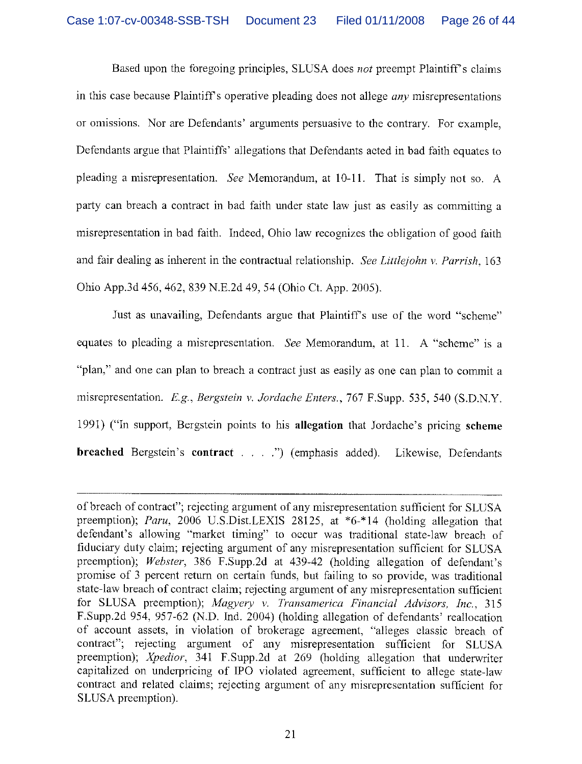Based upon the foregoing principles, SLUSA does not preempt Plaintiff's claims in this case because Plaintiff's operative pleading does not allege *any* misrepresentations or omissions. Nor are Defendants' arguments persuasive to the contrary. For example, Defendants argue that Plaintiffs' allegations that Defendants acted in bad faith equates to pleading a misrepresentation. See Memorandum, at 10-11. That is simply not so. A party can breach a contract in bad faith under state law just as easily as committing a misrepresentation in bad faith. Indeed, Ohio law recognizes the obligation of good faith and fair dealing as inherent in the contractual relationship. See Littlejohn v. Parrish,  $163$ Ohio App.3d 456, 462, 839 N.E.2d 49, 54 (Ohio Ct. App. 2005).

Just as unavailing, Defendants argue that Plaintiff's use of the word "scheme" equates to pleading a misrepresentation. See Memorandum, at 11. A "scheme" is a "plan," and one can plan to breach a contract just as easily as one can plan to commit a misrepresentation. E.g., Bergstein v. Jordache Enters., 767 F.Supp. 535, 540 (S.D.N.Y. 1991) ("In support, Bergstein points to his allegation that Jordache's pricing scheme breached Bergstein's contract . . . .") (emphasis added). Likewise, Defendants

of breach of contract"; rejecting argument of any misrepresentation sufficient for SLUSA preemption); Paru, 2006 U.S.Dist.LEXIS 28125, at \*6-\*14 (holding allegation that defendant's allowing "market timing" to occur was traditional state-law breach of fiduciary duty claim; rejecting argument of any misrepresentation sufficient for SLUSA preemption); Webster, 386 F.Supp.2d at 439-42 (holding allegation of defendant's promise of 3 percent return on certain funds, but failing to so provide, was traditional state-law breach of contract claim; rejecting argument of any misrepresentation sufficient for SLUSA preemption); Magyery v. Transamerica Financial Advisors, Inc., 315 F.Supp.2d 954, 957-62 (N.D. md. 2004) (holding allegation of defendants' reallocation of account assets, in violation of brokerage agreement, "alleges classic breach of contract"; rejecting argument of any misrepresentation sufficient for SLUSA preemption); Xpedior, 341 F.Supp.2d at 269 (holding allegation that underwriter capitalized on underpricing of IPO violated agreement, sufficient to allege state-law contract and related claims; rejecting argument of any misrepresentation sufficient for SLUSA preemption).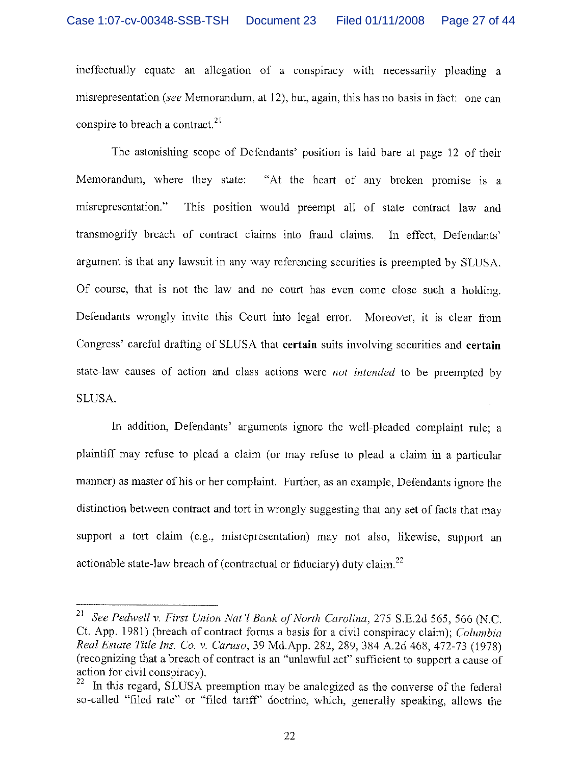ineffectually equate an allegation of a conspiracy with necessarily pleading a misrepresentation (see Memorandum, at 12), but, again, this has no basis in fact: one can conspire to breach a contract.<sup>21</sup>

The astonishing scope of Defendants' position is laid bare at page 12 of their Memorandum, where they state: "At the heart of any broken promise is a misrepresentation." This position would preempt all of state contract law and transmogrify breach of contract claims into fraud claims. In effect, Defendants' argument is that any lawsuit in any way referencing securities is preempted by SLIJSA. Of course, that is not the law and no court has even come close such a holding. Defendants wrongly invite this Court into legal error. Moreover, it is clear from Congress' careful drafting of SLUSA that certain suits involving securities and certain state-law causes of action and class actions were not intended to be preempted by SLUSA.

In addition, Defendants' arguments ignore the well-pleaded complaint rule; a plaintiff may refuse to plead a claim (or may refuse to plead a claim in a particular manner) as master of his or her complaint. Further, as an example, Defendants ignore the distinction between contract and tort in wrongly suggesting that any set of facts that may support a tort claim (e.g., misrepresentation) may not also, likewise, support an actionable state-law breach of (contractual or fiduciary) duty claim.<sup>22</sup>

<sup>&</sup>lt;sup>21</sup> See Pedwell v. First Union Nat'l Bank of North Carolina, 275 S.E.2d 565, 566 (N.C. Ct. App. 1981) (breach of contract forms a basis for a civil conspiracy claim); Columbia Real Estate Title Ins. Co. v. Caruso, 39 Md.App. 282, 289, 384 A.2d 468, 472-73 (1978) (recognizing that a breach of contract is an "unlawful, act" sufficient to support a cause of action for civil conspiracy).

In this regard, SLUSA preemption may be analogized as the converse of the federal so-called "filed rate" or "filed tariff' doctrine, which, generally speaking, allows the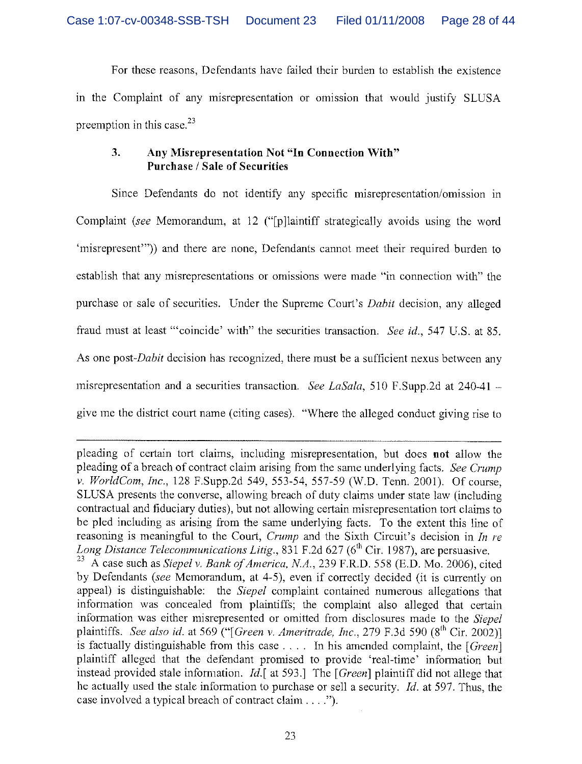For these reasons, Defendants have failed their burden to establish the existence in the Complaint of any misrepresentation or omission that would justify SLUSA preemption in this case. $^{23}$ 

## 3. Any Misrepresentation Not "In Connection With" Purchase / Sale of Securities

Since Defendants do not identify any specific misrepresentation/omission in Complaint (see Memorandum, at 12 ("[p]laintiff strategically avoids using the word 'misrepresent")) and there are none, Defendants cannot meet their required. burden to establish that any misrepresentations or omissions were made "in connection with" the purchase or sale of securities. Under the Supreme Court's *Dabit* decision, any alleged fraud must at least "coincide' with" the securities transaction. See id., 547 U.S. at 85. As one post-Dabit decision has recognized, there must be a sufficient nexus between any misrepresentation and a securities transaction. See LaSala, 510 F.Supp.2d at 240-41 give me the district court name (citing cases). "Where the alleged conduct giving rise to

pleading of certain tort claims, including misrepresentation, but does not allow the pleading of a breach of contract claim arising from the same underlying facts. See Crump v. WorldCom, Inc., 128 F.Supp.2d 549, 553-54, 557-59 (W.D. Tenn. 2001). Of course, SLUSA presents the converse, allowing breach of duty claims under state law (including contractual and fiduciary duties), but not allowing certain misrepresentation tort claims to be pled including as arising from the same underlying facts. To the extent this line of reasoning is meaningful to the Court, *Crump* and the Sixth Circuit's decision in *In re Long Distance Telecommunications Litig.*, 831 F.2d 627 (6<sup>th</sup> Cir. 1987), are persuasive.

<sup>&</sup>lt;sup>23</sup> A case such as *Siepel v. Bank of America, N.A.*, 239 F.R.D. 558 (E.D. Mo. 2006), cited by Defendants (see Memorandum, at 4-5), even if correctly decided (it is currently on appeal) is distinguishable: the Siepel complaint contained numerous allegations that information was concealed from plaintiffs; the complaint also alleged that certain information was either misrepresented or omitted from disclosures made to the Siepel plaintiffs. See also id. at 569 ("[Green v. Ameritrade, Inc., 279 F.3d 590  $(8^{th}$  Cir. 2002)] is factually distinguishable from this case  $\dots$ . In his amended complaint, the [Green] plaintiff alleged that the defendant promised to provide 'real-time' information but instead provided stale information. Id.[ at 593.] The  $[Green]$  plaintiff did not allege that he actually used the stale information to purchase or sell a security. Id. at 597, Thus, the case involved a typical breach of contract claim  $\dots$ .").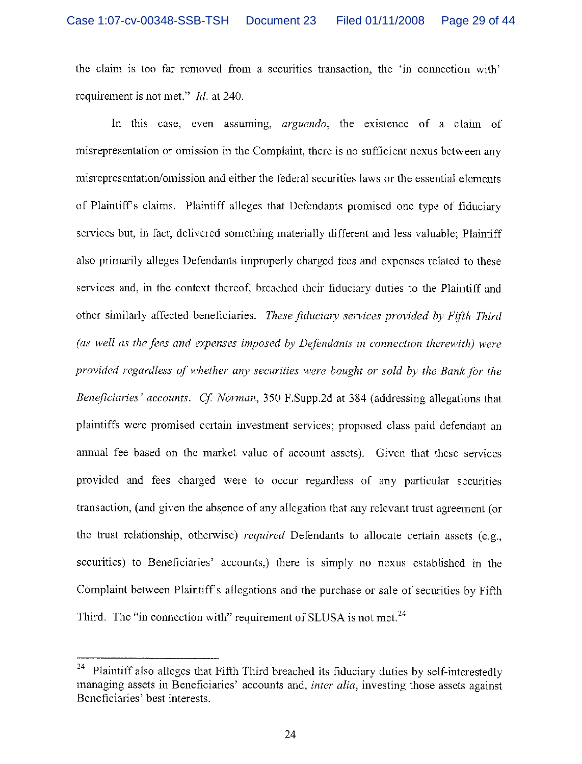the claim is too far removed from a securities transaction, the 'in connection with' requirement is not met." Id. at 240.

In this case, even assuming, *arguendo*, the existence of a claim of misrepresentation or omission in the Complaint, there is no sufficient nexus between any misrepresentation/omission and either the federal securities laws or the essential elements of Plaintiffs claims. Plaintiff alleges that Defendants promised one type of fiduciary services but, in fact, delivered something materially different and less valuable; Plaintiff also primarily alleges Defendants improperly charged fees and expenses related to these services and, in the context thereof, breached their fiduciary duties to the Plaintiff and other similarly affected beneficiaries. These fiduciary services provided by Fifth Third (as well as the fees and expenses imposed by Defendants in connection therewith) were provided regardless of whether any securities were bought or sold by the Bank for the Beneficiaries' accounts. Cf. Norman, 350 F.Supp.2d at 384 (addressing allegations that plaintiffs were promised certain investment services; proposed class paid defendant an annual fee based on the market value of account assets). Given that these services provided and fees charged were to occur regardless of any particular securities transaction, (and given the absence of any allegation that any relevant trust agreement (or the trust relationship, otherwise) *required* Defendants to allocate certain assets (e.g., securities) to Beneficiaries' accounts,) there is simply no nexus established in the Complaint between Plaintiff's allegations and the purchase or sale of securities by Fifth Third. The "in connection with" requirement of SLUSA is not met. $^{24}$ 

Plaintiff also alleges that Fifth Third breached its fiduciary duties by self-interestedly managing assets in Beneficiaries' accounts and, *inter alia*, investing those assets against Beneficiaries' best interests.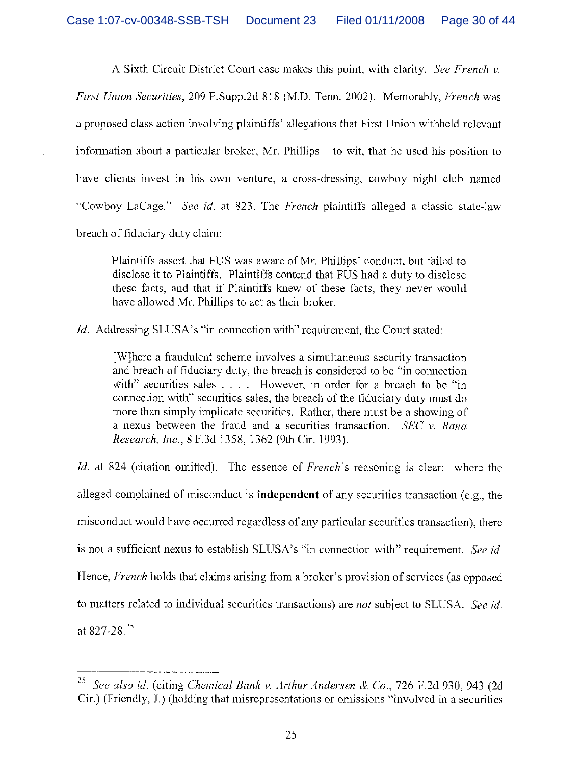A Sixth Circuit District Court case makes this point, with clarity. See French  $\nu$ . First Union Securities, 209 F,Supp.2d 818 (M.D. Tenn. 2002). Memorably, French was a proposed class action involving plaintiffs' allegations that First Union withheld relevant information about a particular broker, Mr. Phillips — to wit, that he used his position to have clients invest in his own venture, a cross-dressing, cowboy night club named "Cowboy LaCage." See id. at 823. The French plaintiffs alleged a classic state-law breach of fiduciary duty claim:

Plaintiffs assert that FUS was aware of Mr. Phillips' conduct, but failed to disclose it to Plaintiffs. Plaintiffs contend that FUS had a duty to disclose these facts, and that if Plaintiffs knew of these facts, they never would have allowed Mr. Phillips to act as their broker.

Id. Addressing SLUSA's "in connection with" requirement, the Court stated:

[W]here a fraudulent scheme involves a simultaneous security transaction and breach of fiduciary duty, the breach is considered to be "in connection with" securities sales  $\dots$ . However, in order for a breach to be "in connection with" securities sales, the breach of the fiduciary duty must do more than simply implicate securities. Rather, there must be a showing of a nexus between the fraud and a securities transaction. SEC  $v$ . Rana Research, Inc., 8 F.3d 1358, 1362 (9th Cir. 1993).

Id. at 824 (citation omitted). The essence of French's reasoning is clear: where the alleged complained of misconduct is independent of any securities transaction (e.g., the misconduct would have occurred regardless of any particular securities transaction), there is not a sufficient nexus to establish SLUSA's "in connection with" requirement. See id. Hence, French holds that claims arising from a broker's provision of services (as opposed to matters related to individual securities transactions) are not subject to SLUSA. See id. at  $827 - 28$ <sup>25</sup>

<sup>&</sup>lt;sup>25</sup> See also id. (citing Chemical Bank v. Arthur Andersen & Co., 726 F.2d 930, 943 (2d Cir.) (Friendly, J.) (holding that misrepresentations or omissions "involved in a securities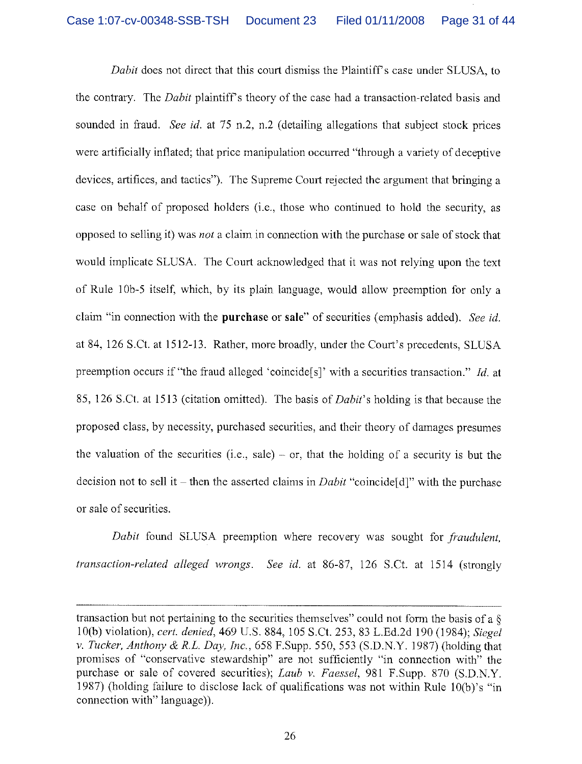Dabit does not direct that this court dismiss the Plaintiff's case under SLUSA, to the contrary. The Dabit plaintiff's theory of the case had a transaction-related basis and sounded in fraud. See id. at 75 n.2, n.2 (detailing allegations that subject stock prices were artificially inflated; that price manipulation occurred "through a variety of deceptive devices, artifices, and tactics"). The Supreme Court rejected the argument that bringing a case on behalf of proposed holders (i.e., those who continued to hold the security, as opposed to selling it) was not a claim in connection with the purchase or sale of stock that would implicate SLUSA. The Court acknowledged that it was not relying upon the text of Rule lOb-S itself, which, by its plain language, would allow preemption for only a claim "in connection with the purchase or sale" of securities (emphasis added). See id. at 84, 126 S.Ct. at 1512-13. Rather, more broadly, under the Court's precedents, SLUSA preemption occurs if "the fraud alleged 'coincide<sup>[s]</sup>' with a securities transaction." *Id.* at 85, 126 S.Ct. at 1513 (citation omitted). The basis of Dahit's holding is that because the proposed class, by necessity, purchased securities, and their theory of damages presumes the valuation of the securities (i.e., sale) – or, that the holding of a security is but the decision not to sell it – then the asserted claims in *Dabit* "coincide [d]" with the purchase or sale of securities.

Dabit found SLUSA preemption where recovery was sought for *fraudulent*, transaction-related alleged wrongs. See id. at 86-87, 126 S.Ct. at 1514 (strongly

transaction but not pertaining to the securities themselves" could not form the basis of a § 10(b) violation), cert. denied, 469 U.S. 884, 105 S.Ct. 253, 83 L.Ed.2d 190 (1984); Siegel v. Tucker, Anthony & R.L. Day, Inc., 658 F.Supp. 550, 553 (S.D.N.Y. 1987) (holding that promises of "conservative stewardship" are not sufficiently "in connection with" the purchase or sale of covered securities); Laub v. Faessel, 981 F.Supp. 870 (S.D.N.Y. 1987) (holding failure to disclose lack of qualifications was not within Rule lO(b)'s "in connection with" language)).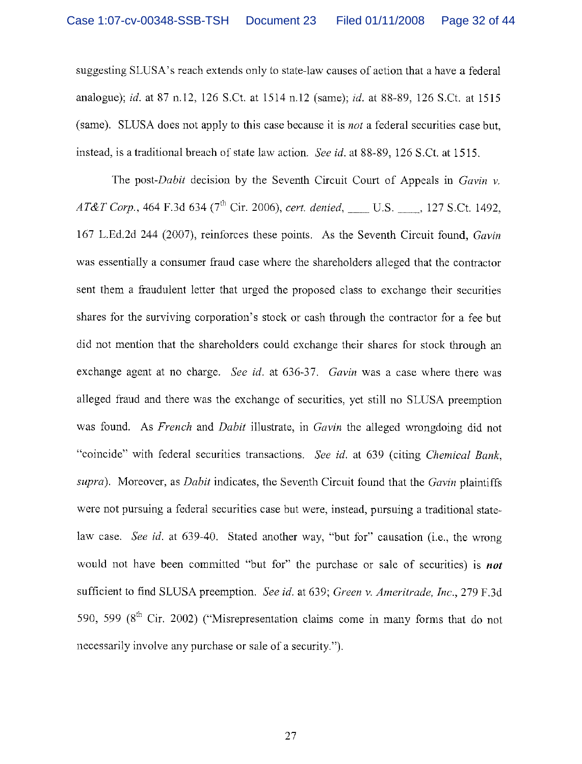suggesting SLUSA's reach extends only to state-law causes of action that a have a federal analogue); id. at 87 n.12, 126 S.Ct. at 1514 n.12 (same); id. at 88-89, 126 S.Ct. at 1515 (same). SLUSA does not apply to this case because it is *not* a federal securities case but, instead, is a traditional breach of state law action. See id. at 88-89, 126 S.Ct. at 1515.

The post-Dabit decision by the Seventh Circuit Court of Appeals in  $Gavin v$ . AT&T Corp., 464 F.3d 634 (7<sup>th</sup> Cir. 2006), cert. denied, U.S. 127 S.Ct. 1492, 167 L.Ed.2d 244 (2007), reinforces these points. As the Seventh Circuit found, Gavin was essentially a consumer fraud case where the shareholders alleged that the contractor sent them a fraudulent letter that urged the proposed class to exchange their securities shares for the surviving corporation's stock or cash through the contractor for a fee but did not mention that the shareholders could exchange their shares for stock through an exchange agent at no charge. See id. at 636-37. Gavin was a case where there was alleged fraud and there was the exchange of securities, yet still no SLUSA preemption was found. As French and Dabit illustrate, in Gavin the alleged wrongdoing did not "coincide" with federal securities transactions. See id. at 639 (citing Chemical Bank, supra). Moreover, as *Dabit* indicates, the Seventh Circuit found that the *Gavin* plaintiffs were not pursuing a federal securities case but were, instead, pursuing a traditional statelaw case. See id. at 639-40. Stated another way, "but for" causation (i.e., the wrong would not have been committed "but for" the purchase or sale of securities) is **not** sufficient to find SLUSA preemption. See id. at 639; Green v. Ameritrade, Inc., 279 F.3d 590, 599 ( $8<sup>th</sup>$  Cir. 2002) ("Misrepresentation claims come in many forms that do not necessarily involve any purchase or sale of a security.").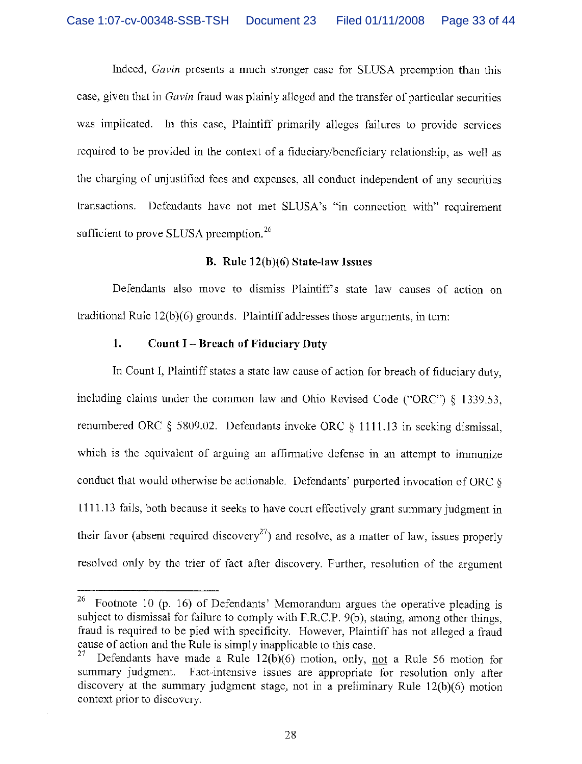Indeed, Gavin presents a much stronger case for SLUSA preemption than this case, given that in Gavin fraud was plainly alleged and the transfer of particular securities was implicated. In this case, Plaintiff primarily alleges failures to provide services required to be provided in the context of a fiduciary/beneficiary relationship, as well as the charging of unjustified fees and expenses, all conduct independent of any securities transactions. Defendants have not met SLUSA's "in connection with" requirement sufficient to prove SLUSA preemption.<sup>26</sup>

#### B. Rule 12(b)(6) State-law Issues

Defendants also move to dismiss Plaintiff's state law causes of action on traditional Rule 12(b)(6) grounds. Plaintiff addresses those arguments, in turn:

### 1. Count I —Breach of Fiduciary Duty

In Count I, Plaintiff states a state law cause of action for breach of fiduciary duty, including claims under the common. law and Ohio Revised Code ("ORC") § 1339.53, renumbered ORC § 5809.02. Defendants invoke ORC § 1111.13 in seeking dismissal, which is the equivalent of arguing an affirmative defense in an attempt to immunize conduct that would otherwise be actionable. Defendants' purported invocation of ORC § 1111.13 fails, both because it seeks to have court effectively grant summary judgment in their favor (absent required discovery<sup>27</sup>) and resolve, as a matter of law, issues properly resolved only by the trier of fact after discovery. Further, resolution of the argument

<sup>&</sup>lt;sup>26</sup> Footnote 10 (p. 16) of Defendants' Memorandum argues the operative pleading is subject to dismissal for failure to comply with F.R.C.P. 9(b), stating, among other things, fraud is required to be pled with specificity. However, Plaintiff has not alleged a fraud cause of action and the Rule is simply inapplicable to this case.<br> $27 \text{ Dafandants have mode a Dula 12(b)(6) motion, only in }$ 

Defendants have made a Rule  $12(b)(6)$  motion, only, not a Rule 56 motion for summary judgment. Fact-intensive issues are appropriate for resolution only after discovery at the summary judgment stage, not in a preliminary Rule  $12(b)(6)$  motion context prior to discovery.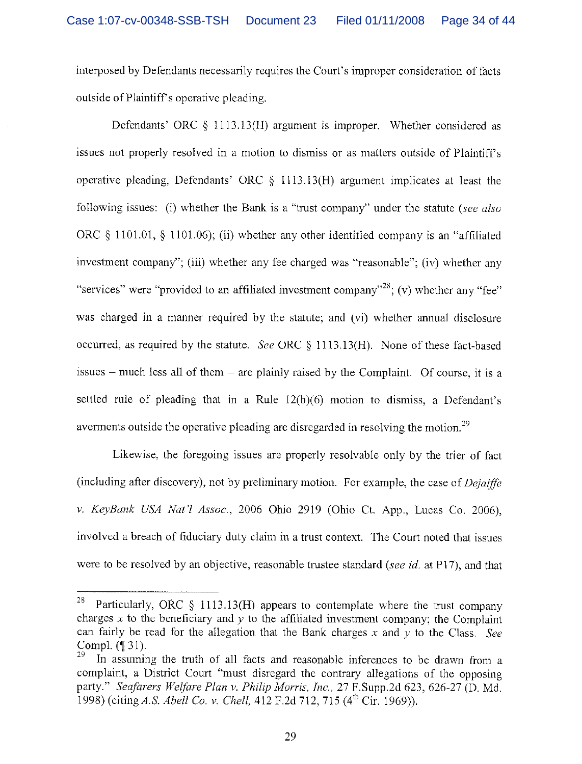interposed by Defendants necessarily requires the Court's improper consideration of facts outside of Plaintiff's operative pleading.

Defendants' ORC § 1113.13(H) argument is improper. Whether considered as issues not properly resolved in a motion to dismiss or as matters outside of Plaintiffs operative pleading, Defendants' ORC  $\S$  1113.13(H) argument implicates at least the following issues: (i) whether the Bank is a "trust company" under the statute (see also ORC § 1101.01, § 1101.06); (ii) whether any other identified company is an "affiliated investment company"; (iii) whether any fee charged was "reasonable"; (iv) whether any "services" were "provided to an affiliated investment company"<sup>28</sup>; (v) whether any "fee" was charged in a manner required by the statute; and (vi) whether annual disclosure occurred, as required by the statute. See ORC  $\S$  1113.13(H). None of these fact-based issues  $-$  much less all of them  $-$  are plainly raised by the Complaint. Of course, it is a settled rule of pleading that in a Rule 12(b)(6) motion to dismiss, a Defendant's averments outside the operative pleading are disregarded in resolving the motion.<sup>29</sup>

Likewise, the foregoing issues are properly resolvable only by the trier of fact (including after discovery), not by preliminary motion. For example, the case of  $Deiaiffe$ v. KeyBank USA Nat'l Assoc., 2006 Ohio 2919 (Ohio Ct. App., Lucas Co. 2006), involved a breach of fiduciary duty claim in a trust context. The Court noted that issues were to be resolved by an objective, reasonable trustee standard (see id. at P17), and that

<sup>&</sup>lt;sup>28</sup> Particularly, ORC § 1113.13(H) appears to contemplate where the trust company charges  $x$  to the beneficiary and  $y$  to the affiliated investment company; the Complaint can fairly be read for the allegation that the Bank charges x and y to the Class. See Compl. ( $\parallel$  31).<br><sup>29</sup> In assuming the truth of all facts and reasonable inferences to be drawn from a

complaint, a District Court "must disregard the contrary allegations of the opposing party." Seafarers Welfare Plan v. Philip Morris, Inc., 27 F.Supp.2d 623, 626-27 (D. Md. 1998) (citing A.S. Abell Co. v. Chell, 412 F.2d 712, 715 (4<sup>th</sup> Cir. 1969)).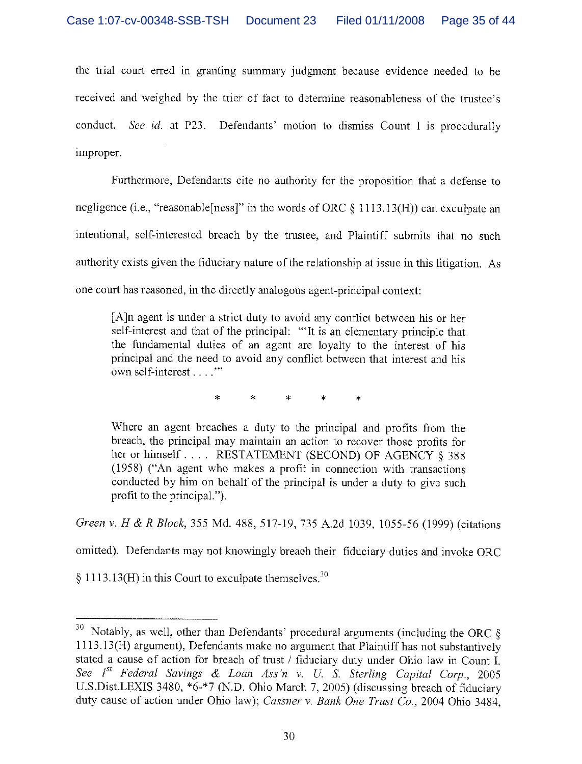the trial court erred in granting summary judgment because evidence needed to be received and weighed by the trier of fact to determine reasonableness of the trustee's conduct. See id. at P23. Defendants' motion to dismiss Count I is procedurally improper.

Furthermore, Defendants cite no authority for the proposition that a defense to negligence (i.e., "reasonable [ness]" in the words of ORC  $\S$  1113.13(H)) can exculpate an intentional, self-interested breach by the trustee, and Plaintiff submits that no such authority exists given the fiduciary nature of the relationship at issue in this litigation. As one court has reasoned, in the directly analogous agent-principal context:

[A]n agent is under a strict duty to avoid any conflict between his or her self-interest and that of the principal: "It is an elementary principle that the fundamental duties of an agent are loyalty to the interest of his principal and the need to avoid any conflict between that interest and his own self-interest . . . . "

\* \* \* \* \*

Where an agent breaches a duty to the principal and profits from the breach, the principal may maintain an action to recover those profits for her or himself.... RESTATEMENT (SECOND) OF AGENCY § 388 (1958) ("An agent who makes a profit in connection with transactions conducted by him on behalf of the principal is under a duty to give such profit to the principal.").

Green v. H & R Block, 355 Md. 488, 517-19, 735 A.2d 1039, 1055-56 (1999) (citations

omitted). Defendants may not knowingly breach their fiduciary duties and invoke ORC

 $\S 1113.13(H)$  in this Court to exculpate themselves.<sup>30</sup>

 $30$  Notably, as well, other than Defendants' procedural arguments (including the ORC  $\S$ 1113.13(H) argument), Defendants make no argument that Plaintiff has not substantively stated a cause of action for breach of trust / fiduciary duty under Ohio law in Count 1. See  $I^{st}$  Federal Savings & Loan Ass'n v. U. S. Sterling Capital Corp., 2005 U.S.Dist.LEXIS 3480, \*6-\*7 (N.D. Ohio March 7, 2005) (discussing breach of fiduciary duty cause of action under Ohio law); Cassner v. Bank One Trust Co., 2004 Ohio 3484.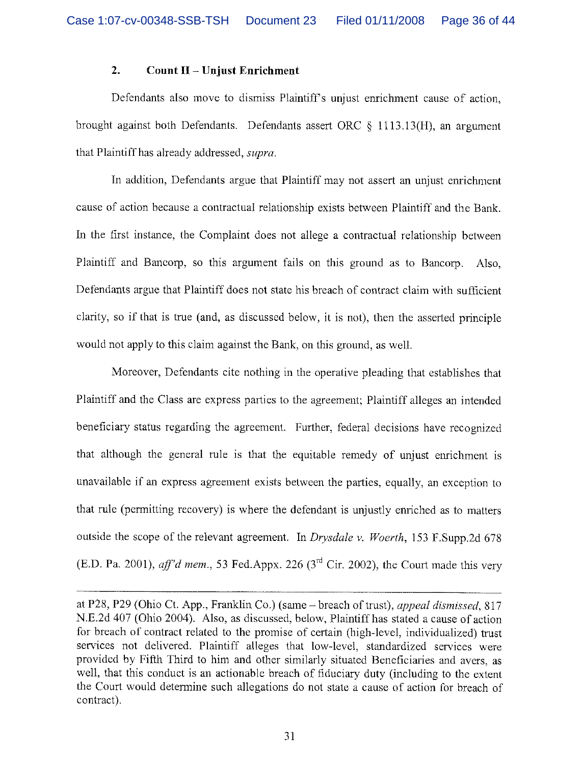## 2. Count  $II$  – Unjust Enrichment

Defendants also move to dismiss Plaintiff's unjust enrichment cause of action, brought against both Defendants. Defendants assert ORC  $\&$  1113.13(H), an argument that Plaintiff has already addressed, supra.

In addition, Defendants argue that Plaintiff may not assert an unjust enrichment cause of action because a contractual relationship exists between Plaintiff and the Bank. In the first instance, the Complaint does not allege a contractual relationship between Plaintiff and Bancorp, so this argument fails on this ground as to Bancorp. Also, Defendants argue that Plaintiff does not state his breach of contract claim with sufficient clarity, so if that is true (and, as discussed below, it is not), then the asserted principle would not apply to this claim against the Bank, on this ground, as well.

Moreover, Defendants cite nothing in the operative pleading that establishes that Plaintiff and the Class are express parties to the agreement; Plaintiff alleges an intended beneficiary status regarding the agreement, Further, federal decisions have recognized that although the general rule is that the equitable remedy of unjust enrichment is unavailable if an express agreement exists between the parties, equally, an exception to that rule (permitting recovery) is where the defendant is unjustly enriched as to matters outside the scope of the relevant agreement. In Drysdale v. Woerth, 153 F.Supp.2d 678 (E.D. Pa. 2001), aff'd mem., 53 Fed.Appx. 226 ( $3<sup>rd</sup>$  Cir. 2002), the Court made this very

at P28, P29 (Ohio Ct. App., Franklin Co.) (same – breach of trust), *appeal dismissed*, 817 N.E.2d 407 (Ohio 2004). Also, as discussed, below, Plaintiff has stated a cause of action for breach of contract related to the promise of certain (high-level, individualized) trust services not delivered. Plaintiff alleges that low-level, standardized services were provided by Fifth Third to him and other similarly situated Beneficiaries and avers, as well, that this conduct is an actionable breach of fiduciary duty (including to the extent the Court would determine such allegations do not state a cause of action for breach of contract).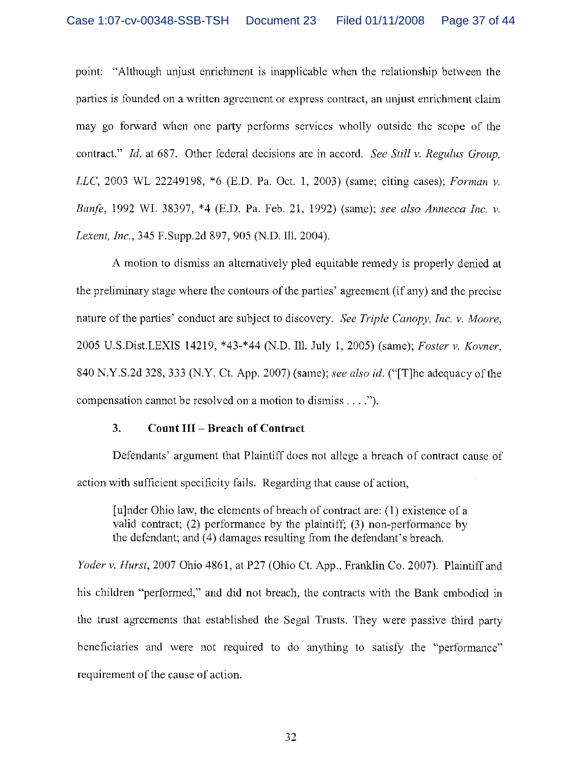point: "Although unjust enrichment is inapplicable when the relationship between the parties is founded on a written agreement or express contract, an unjust enrichment claim may go forward when one party performs services wholly outside the scope of the contract." Id, at 687. Other federal decisions are in accord. See Still v. Regulus Group, LLC, 2003 WL 22249198, \*6 (E.D. Pa. Oct. 1, 2003) (same; citing cases); Forman v. Banfe, 1992 WL 38397, \*4 (E.D. Pa. Feb. 21, 1992) (same); see also Annecca Inc. v. Lexent, Inc., 345 F.Supp.2d 897, 905 (N.D. Ill. 2004).

A motion to dismiss an alternatively pled equitable remedy is properly denied at the preliminary stage where the contours of the parties' agreement (if any) and the precise nature of the parties' conduct are subject to discovery. See Triple Canopy, Inc. v. Moore, 2005 U.S.Dist.LEXIS 14219, \*43\_\*44 (N.D. Ill. July 1, 2005) (same); Foster v. Kovner, 840 N.Y.S.2d 328, 333 (N.Y. Ct. App. 2007) (same); see also id. ("[T]he adequacy of the compensation cannot be resolved on a motion to dismiss  $\dots$ .

### 3. Count III — Breach of Contract

Defendants' argument that Plaintiff does not allege a breach of contract cause of action with sufficient specificity fails. Regarding that cause of action,

[u]nder Ohio law, the elements of breach of contract are: (1) existence of a valid contract; (2) performance by the plaintiff; (3) non-performance by the defendant; and (4) damages resulting from the defendant's breach.

Yoder v. Hurst, 2007 Ohio 4861, at P27 (Ohio Ct. App., Franklin Co. 2007). Plaintiff and his children "performed," and did not breach, the contracts with the Bank embodied in the trust agreements that established the Segal Trusts. They were passive third party beneficiaries and were not required to do anything to satisfy the "performance" requirement of the cause of action.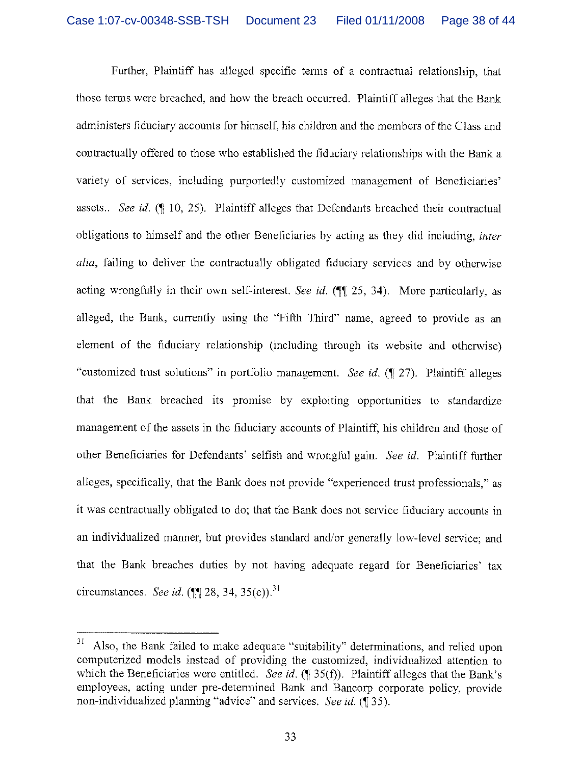Further, Plaintiff has alleged specific terms of a contractual relationship, that those terms were breached, and how the breach occurred. Plaintiff alleges that the Bank administers fiduciary accounts for himself; his children and the members of the Class and contractually offered to those who established the fiduciary relationships with the Bank a variety of services, including purportedly customized management of Beneficiaries' assets.. See id.  $(10, 25)$ . Plaintiff alleges that Defendants breached their contractual obligations to himself and the other Beneficiaries by acting as they did including, inter alia, failing to deliver the contractually obligated fiduciary services and by otherwise acting wrongfully in their own self-interest. See id.  $(\mathbb{I} \setminus \{1\})$  25, 34). More particularly, as alleged, the Bank, currently using the "Fifth Third" name, agreed to provide as an element of the fiduciary relationship (including through its website and otherwise) "customized trust solutions" in portfolio management. See id. ( $\P$  27). Plaintiff alleges that the Bank breached its promise by exploiting opportunities to standardize management of the assets in the fiduciary accounts of Plaintiff; his children and those of other Beneficiaries for Defendants' selfish and wrongful gain. See id. Plaintiff further alleges, specifically, that the Bank does not provide "experienced trust professionals," as it was contractually obligated to do; that the Bank does not service fiduciary accounts in an individualized manner, but provides standard and/or generally low-level service; and that the Bank breaches duties by not having adequate regard for Beneficiaries' tax circumstances. See id. ( $\P$ [28, 34, 35(e)).<sup>31</sup>

<sup>&</sup>lt;sup>31</sup> Also, the Bank failed to make adequate "suitability" determinations, and relied upon computerized models instead of providing the customized, individualized attention to which the Beneficiaries were entitled. See id. ( $\P$  35(f)). Plaintiff alleges that the Bank's employees, acting under pre-determined Bank and Bancorp corporate policy, provide non-individualized planning "advice" and services. See id. (¶ 35).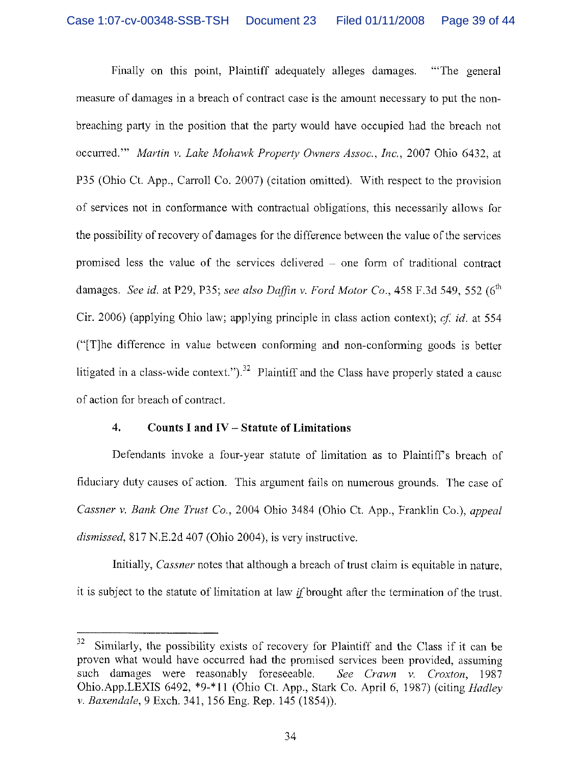Finally on this point. Plaintiff adequately alleges damages. "The general measure of damages in a breach of contract case is the amount necessary to put the nonbreaching party in the position that the party would have occupied had. the breach not occurred." Martin v. Lake Mohawk Property Owners Assoc., Inc., 2007 Ohio 6432, at P35 (Ohio Ct. App., Carroll Co. 2007) (citation omitted). With respect to the provision of services not in conformance with contractual obligations, this necessarily allows for the possibility of recovery of damages for the difference between the value of the services promised less the value of the services delivered — one form of traditional contract damages. See id. at P29, P35; see also Daffin v. Ford Motor Co., 458 F, 3d 549, 552 ( $6<sup>th</sup>$ Cir. 2006) (applying Ohio law; applying principle in class action context); cf id. at 554 ("[T]he difference in value between conforming and non-conforming goods is better litigated in a class-wide context." $\lambda^{32}$  Plaintiff and the Class have properly stated a cause of action for breach of contract.

#### 4. Counts I and IV — Statute of Limitations

Defendants invoke a four-year statute of limitation as to Plaintiffs breach of fiduciary duty causes of action. This argument fails on numerous grounds. The case of Cassner v. Bank One Trust Co., 2004 Ohio 3484 (Ohio Ct. App., Franklin Co.), appeal dismissed, 817 N.E.2d 407 (Ohio 2004), is very instructive.

Initially, *Cassner* notes that although a breach of trust claim is equitable in nature, it is subject to the statute of limitation at law  $if$  brought after the termination of the trust.

 $32$  Similarly, the possibility exists of recovery for Plaintiff and the Class if it can be proven what would have occurred had the promised services been provided, assuming such damages were reasonably foreseeable. See Crawn v. Croxton, 1987 Ohio.App.LEXIS 6492, \*9-\*11 (Ohio Ct. App., Stark Co. April 6, 1987) (citing Hadley v. Baxendale, 9 Exch. 341, 156 Eng. Rep. 145 (1854)).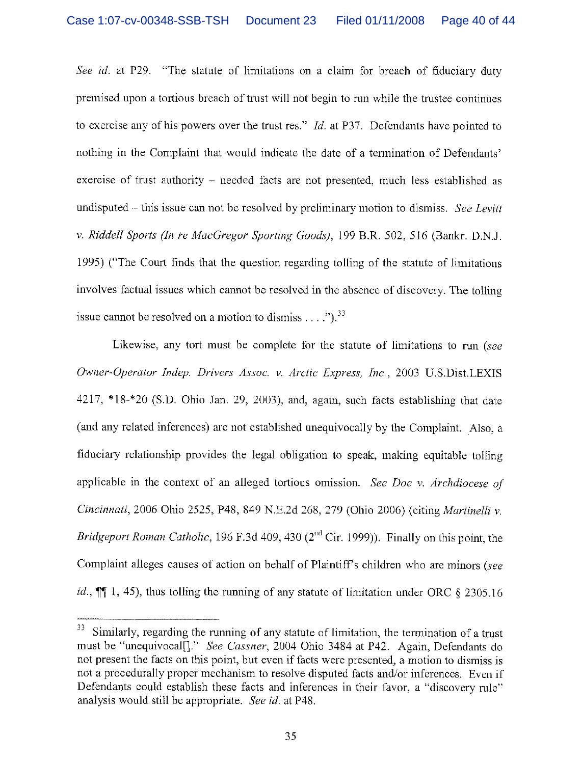See id. at P29. "The statute of limitations on a claim for breach of fiduciary duty premised upon a tortious breach of trust will not begin to run while the trustee continues to exercise any of his powers over the trust res." Id. at P37. Defendants have pointed to nothing in the Complaint that would indicate the date of a termination of Defendants' exercise of trust authority — needed facts are not presented, much less established as undisputed – this issue can not be resolved by preliminary motion to dismiss. See Levitt v. Riddell Sports (In re MacGregor Sporting Goods), 199 B.R. 502, 516 (Bankr. D.N.J. 1995) ("The Court finds that the question regarding tolling of the statute of limitations involves factual issues which cannot be resolved in the absence of discovery. The tolling issue cannot be resolved on a motion to dismiss  $\dots$  ...,  $33$ 

Likewise, any tort must be complete for the statute of limitations to run (see Owner-Operator Indep. Drivers Assoc. v. Arctic Express, inc., 2003 U.S.Dist.LEXIS  $4217$ ,  $*18-*20$  (S.D. Ohio Jan. 29, 2003), and, again, such facts establishing that date (and any related inferences) are not established unequivocally by the Complaint. Also, a fiduciary relationship provides the legal obligation to speak, making equitable tolling applicable in the context of an alleged tortious omission, See Doe v. Archdiocese of Cincinnati, 2006 Ohio 2525, P48, 849 N.E.2d 268, 279 (Ohio 2006) (citing Martinelli v. Bridgeport Roman Catholic, 196 F.3d 409, 430 ( $2<sup>nd</sup>$  Cir. 1999)). Finally on this point, the Complaint alleges causes of action on behalf of Plaintiff's children who are minors (see *id.*,  $\P$  1, 45), thus tolling the running of any statute of limitation under ORC § 2305.16

<sup>&</sup>lt;sup>33</sup> Similarly, regarding the running of any statute of limitation, the termination of a trust must be "unequivocal[]." See Cassner, 2004 Ohio 3484 at P42. Again, Defendants do not present the facts on this point, but even if facts were presented, a motion to dismiss is not a procedurally proper mechanism to resolve disputed facts and/or inferences. Even if Defendants could establish these facts and inferences in their favor, a "discovery rule" analysis would still be appropriate. See id. at P48.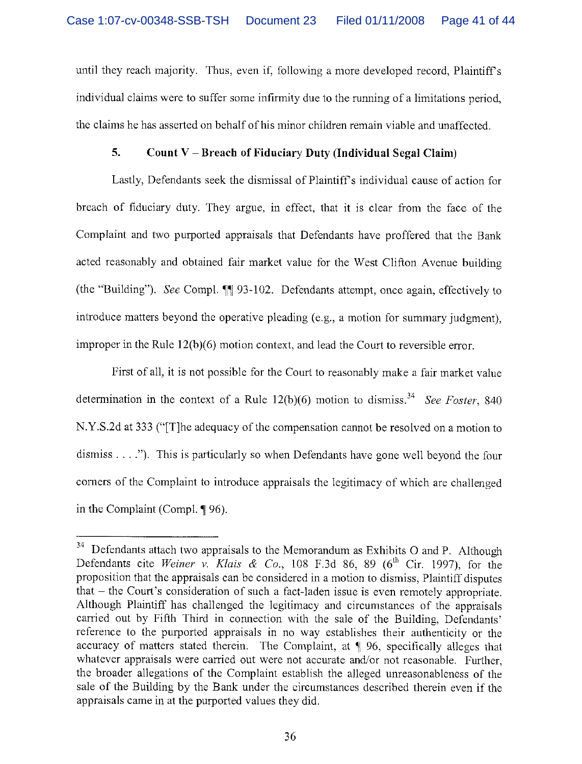until they reach majority. Thus, even if, following a more developed record, Plaintiff's individual claims were to suffer some infirmity due to the running of a limitations period, the claims he has asserted on behalf of his minor children remain viable and unaffected.

## 5. Count  $V - B$  reach of Fiduciary Duty (Individual Segal Claim)

Lastly, Defendants seek the dismissal of Plaintiffs individual cause of action for breach of fiduciary duty. They argue, in effect, that it is clear from the face of the Complaint and two purported appraisals that Defendants have proffered that the Bank acted reasonably and obtained fair market value for the West Clifton Avenue building (the "Building"). See Compl.  $\P$  93-102. Defendants attempt, once again, effectively to introduce matters beyond the operative pleading  $(e.g., a motion for summary judgment)$ . improper in the Rule  $12(b)(6)$  motion context, and lead the Court to reversible error.

First of all, it is not possible for the Court to reasonably make a fair market value determination in the context of a Rule  $12(b)(6)$  motion to dismiss.<sup>34</sup> See Foster, 840 N.Y.S.2d at 333 ("[T]he adequacy of the compensation cannot be resolved on a motion to dismiss  $\dots$ ."). This is particularly so when Defendants have gone well beyond the four corners of the Complaint to introduce appraisals the legitimacy of which are challenged in the Complaint (Compl. ¶ 96).

 $34$  Defendants attach two appraisals to the Memorandum as Exhibits O and P. Although Defendants cite Weiner v. Klais & Co., 108 F.3d 86, 89 ( $6<sup>th</sup>$  Cir. 1997), for the proposition that the appraisals can be considered in a motion to dismiss, Plaintiff disputes that  $-$  the Court's consideration of such a fact-laden issue is even remotely appropriate. Although Plaintiff has challenged the legitimacy and circumstances of the appraisals carried out by Fifth Third in connection with the sale of the Building, Defendants' reference to the purported appraisals in no way establishes their authenticity or the accuracy of matters stated therein. The Complaint, at  $\P$  96, specifically alleges that whatever appraisals were carried out were not accurate and/or not reasonable. Further, the broader allegations of the Complaint establish the alleged unreasonableness of the sale of the Building by the Bank under the circumstances described therein even if the appraisals came in at the purported values they did.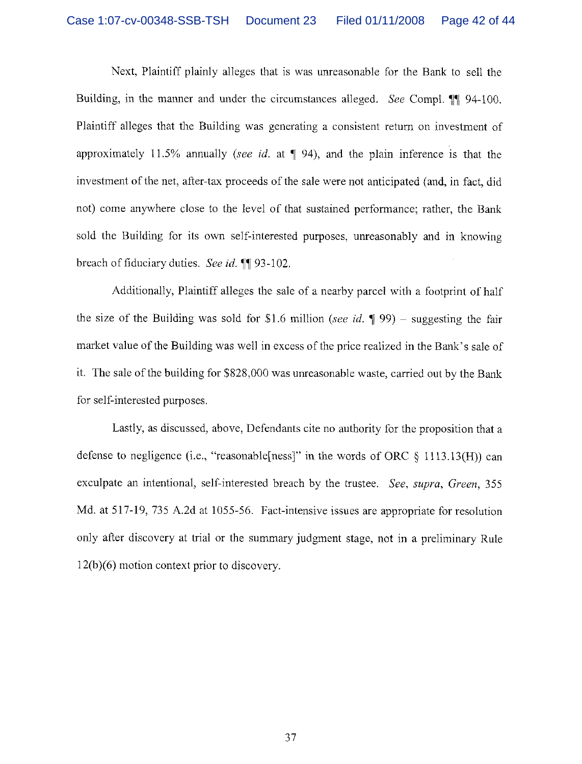Next, Plaintiff plainly alleges that is was unreasonable for the Bank to sell the Building, in the manner and under the circumstances alleged. See Compl. 94-100. Plaintiff alleges that the Building was generating a consistent return on investment of approximately 11.5% annually (see id. at  $\P$  94), and the plain inference is that the investment of the net, after-tax proceeds of the sale were not anticipated (and, in fact, did not) come anywhere close to the level of that sustained performance; rather, the Bank sold the Building for its own self-interested purposes, unreasonably and in knowing breach of fiduciary duties. See id. ¶¶ 93-102.

Additionally, Plaintiff alleges the sale of a nearby parcel with a footprint of half the size of the Building was sold for \$1.6 million (see id.  $\parallel$  99) – suggesting the fair market value of the Building was well in excess of the price realized in the Bank's sale of it. The sale of the building for \$828,000 was unreasonable waste, carried out by the Bank for self-interested purposes.

Lastly, as discussed, above, Defendants cite no authority for the proposition that a defense to negligence (i.e., "reasonable [ness]" in the words of ORC  $\S$  1113.13(H)) can exculpate an intentional, self-interested breach by the trustee. See, supra, Green, 355 Md. at 517-19, 735 A.2d at 1055-56. Fact-intensive issues are appropriate for resolution only after discovery at trial or the summary judgment stage, not in a preliminary Rule l2(h)(6) motion context prior to discovery.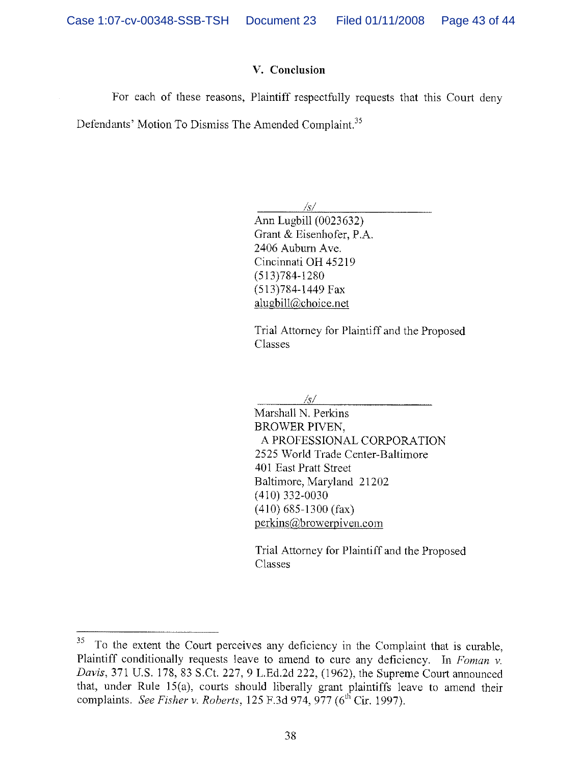## V. Conclusion

For each of these reasons, Plaintiff respectfully requests that this Court deny

Defendants' Motion To Dismiss The Amended Complaint.<sup>35</sup>

/s/ Ann Lugbill (0023632) Grant & Eisenhofer, P.A. 2406 Auburn Ave. Cincinnati OH 45219 (513)784-1280 (513)784-1449 Fax alugbill@choice.net

Trial Attorney for Plaintiff and the Proposed Classes

 $\sqrt{s/2}$ 

Marshall N, Perkins BROWER PIVEN, A PROFESSIONAL CORPORATION 2525 World Trade Center-Baltimore 401 East Pratt Street Baltimore, Maryland 21202 (410) 332-0030 (410) 685-1300 (fax) perkins22browerpiven,com

Trial Attorney for Plaintiff and the Proposed Classes

 $35 -$ To the extent the Court perceives any deficiency in the Complaint that is curable, Plaintiff conditionally requests leave to amend to cure any deficiency. In Foman v. Davis, 371 U.S. 178, 83 S.Ct. 227, 9 L.Ed.2d 222, (1962), the Supreme Court annonnced that, under Rule 15(a), courts should liberally grant plaintiffs leave to amend their complaints. See Fisher v. Roberts, 125 F.3d 974, 977 ( $6<sup>th</sup>$  Cir. 1997).